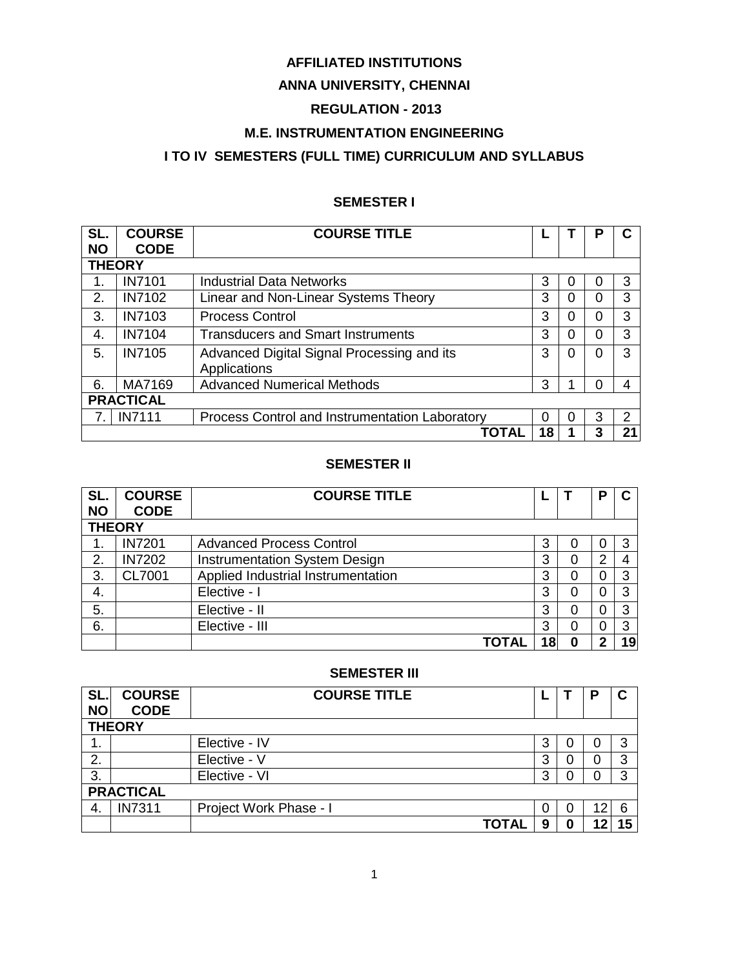# **AFFILIATED INSTITUTIONS**

# **ANNA UNIVERSITY, CHENNAI**

# **REGULATION - 2013**

# **M.E. INSTRUMENTATION ENGINEERING**

# **I TO IV SEMESTERS (FULL TIME) CURRICULUM AND SYLLABUS**

# **SEMESTER I**

| SL.           | <b>COURSE</b>    | <b>COURSE TITLE</b>                            |    |   | Р |               |
|---------------|------------------|------------------------------------------------|----|---|---|---------------|
| <b>NO</b>     | <b>CODE</b>      |                                                |    |   |   |               |
| <b>THEORY</b> |                  |                                                |    |   |   |               |
|               | <b>IN7101</b>    | <b>Industrial Data Networks</b>                | 3  | 0 | 0 | 3             |
| 2.            | <b>IN7102</b>    | Linear and Non-Linear Systems Theory           | 3  | 0 | 0 | 3             |
| 3.            | <b>IN7103</b>    | <b>Process Control</b>                         | 3  | 0 | 0 | 3             |
| 4.            | <b>IN7104</b>    | <b>Transducers and Smart Instruments</b>       | 3  | 0 | ი | 3             |
| 5.            | <b>IN7105</b>    | Advanced Digital Signal Processing and its     | 3  | 0 | O | 3             |
|               |                  | Applications                                   |    |   |   |               |
| 6.            | MA7169           | <b>Advanced Numerical Methods</b>              | 3  |   |   |               |
|               | <b>PRACTICAL</b> |                                                |    |   |   |               |
|               | <b>IN7111</b>    | Process Control and Instrumentation Laboratory | 0  | 0 | 3 | $\mathcal{P}$ |
|               |                  | ΤΟΤΑΙ                                          | 18 |   | 3 | 21            |

## **SEMESTER II**

| SL.           | <b>COURSE</b> | <b>COURSE TITLE</b>                |    |   | Р        | C  |
|---------------|---------------|------------------------------------|----|---|----------|----|
| <b>NO</b>     | <b>CODE</b>   |                                    |    |   |          |    |
| <b>THEORY</b> |               |                                    |    |   |          |    |
|               | <b>IN7201</b> | <b>Advanced Process Control</b>    | 3  |   | 0        |    |
| 2.            | <b>IN7202</b> | Instrumentation System Design      | 3  |   | 2        |    |
| 3.            | CL7001        | Applied Industrial Instrumentation | 3  |   | 0        |    |
| 4.            |               | Elective - I                       | 3  | 0 | 0        | з  |
| 5.            |               | Elective - II                      | 3  |   | $\Omega$ | 3  |
| 6.            |               | Elective - III                     | 3  |   | 0        |    |
|               |               | TOTAL                              | 18 |   | າ        | 19 |

### **SEMESTER III**

| SL.<br><b>NO</b> | <b>COURSE</b><br><b>CODE</b> | <b>COURSE TITLE</b>    |   |   |    | C  |  |  |
|------------------|------------------------------|------------------------|---|---|----|----|--|--|
|                  | <b>THEORY</b>                |                        |   |   |    |    |  |  |
| 1.               |                              | Elective - IV          | 3 | Ü |    | ◠  |  |  |
| 2.               |                              | Elective - V           | 3 | U |    | ≏  |  |  |
| 3.               |                              | Elective - VI          | 3 |   |    |    |  |  |
|                  | <b>PRACTICAL</b>             |                        |   |   |    |    |  |  |
| -4.              | <b>IN7311</b>                | Project Work Phase - I | 0 | O | 12 |    |  |  |
|                  |                              | TOTAL                  | 9 | 0 | 12 | 15 |  |  |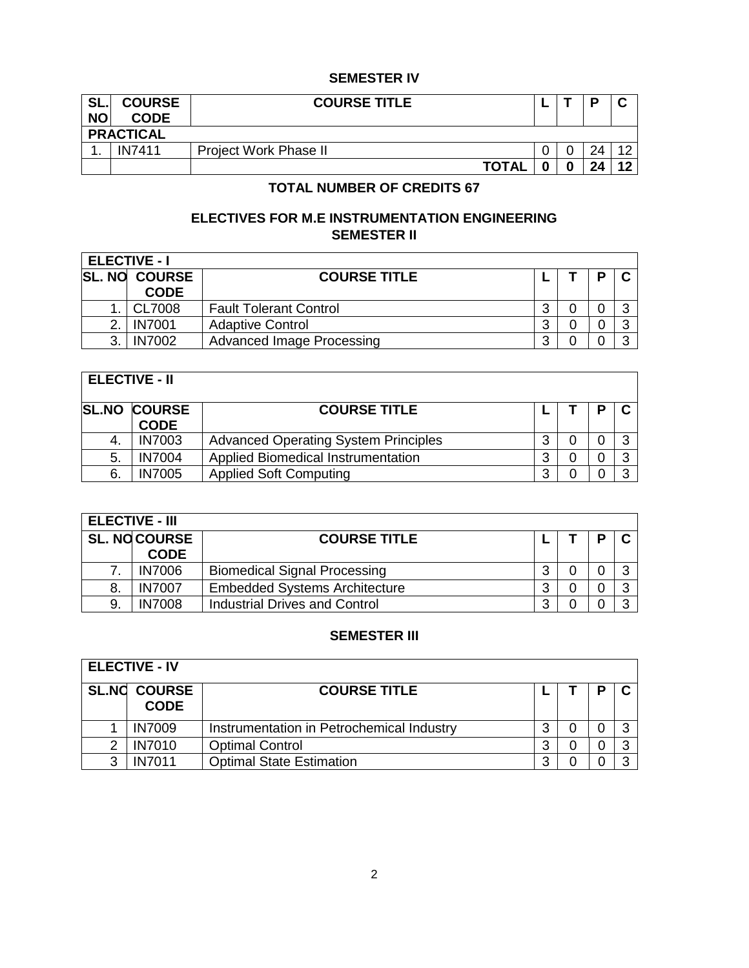# **SEMESTER IV**

| SL.<br><b>NO</b> | <b>COURSE</b><br><b>CODE</b> | <b>COURSE TITLE</b>          |  |  |  |    |  |  |  |
|------------------|------------------------------|------------------------------|--|--|--|----|--|--|--|
|                  | <b>PRACTICAL</b>             |                              |  |  |  |    |  |  |  |
| . .              | <b>IN7411</b>                | <b>Project Work Phase II</b> |  |  |  |    |  |  |  |
|                  |                              | <b>TOTAL</b>                 |  |  |  | 12 |  |  |  |

# **TOTAL NUMBER OF CREDITS 67**

# **ELECTIVES FOR M.E INSTRUMENTATION ENGINEERING SEMESTER II**

|   | <b>ELECTIVE - I</b>                 |                                  |   |  |  |  |  |  |  |  |
|---|-------------------------------------|----------------------------------|---|--|--|--|--|--|--|--|
|   | <b>SL. NO COURSE</b><br><b>CODE</b> | <b>COURSE TITLE</b>              |   |  |  |  |  |  |  |  |
|   |                                     |                                  |   |  |  |  |  |  |  |  |
|   | CL7008                              | <b>Fault Tolerant Control</b>    | ົ |  |  |  |  |  |  |  |
|   | <b>IN7001</b>                       | <b>Adaptive Control</b>          | າ |  |  |  |  |  |  |  |
| ર | <b>IN7002</b>                       | <b>Advanced Image Processing</b> | າ |  |  |  |  |  |  |  |

÷

| <b>ELECTIVE - II</b> |                     |                                             |   |  |   |  |  |  |
|----------------------|---------------------|---------------------------------------------|---|--|---|--|--|--|
|                      | <b>SL.NO COURSE</b> | <b>COURSE TITLE</b>                         |   |  | п |  |  |  |
|                      | <b>CODE</b>         |                                             |   |  |   |  |  |  |
|                      | <b>IN7003</b>       | <b>Advanced Operating System Principles</b> | 3 |  |   |  |  |  |
| -5.                  | <b>IN7004</b>       | <b>Applied Biomedical Instrumentation</b>   | 3 |  |   |  |  |  |
| 6.                   | <b>IN7005</b>       | <b>Applied Soft Computing</b>               | 3 |  |   |  |  |  |

| <b>ELECTIVE - III</b> |                      |                                      |        |  |   |  |  |  |  |
|-----------------------|----------------------|--------------------------------------|--------|--|---|--|--|--|--|
|                       | <b>SL. NO COURSE</b> | <b>COURSE TITLE</b>                  |        |  | п |  |  |  |  |
|                       | <b>CODE</b>          |                                      |        |  |   |  |  |  |  |
|                       | <b>IN7006</b>        | <b>Biomedical Signal Processing</b>  | 3      |  |   |  |  |  |  |
| 8.                    | <b>IN7007</b>        | <b>Embedded Systems Architecture</b> | ◠<br>N |  |   |  |  |  |  |
| 9.                    | <b>IN7008</b>        | <b>Industrial Drives and Control</b> | ົ      |  |   |  |  |  |  |

# **SEMESTER III**

|   | <b>ELECTIVE - IV</b>               |                                           |   |  |   |  |  |  |  |  |
|---|------------------------------------|-------------------------------------------|---|--|---|--|--|--|--|--|
|   | <b>SL.NO COURSE</b><br><b>CODE</b> | <b>COURSE TITLE</b>                       |   |  | n |  |  |  |  |  |
|   | <b>IN7009</b>                      | Instrumentation in Petrochemical Industry | 3 |  |   |  |  |  |  |  |
| ⌒ | <b>IN7010</b>                      | <b>Optimal Control</b>                    | 3 |  |   |  |  |  |  |  |
| 3 | <b>IN7011</b>                      | <b>Optimal State Estimation</b>           | 3 |  |   |  |  |  |  |  |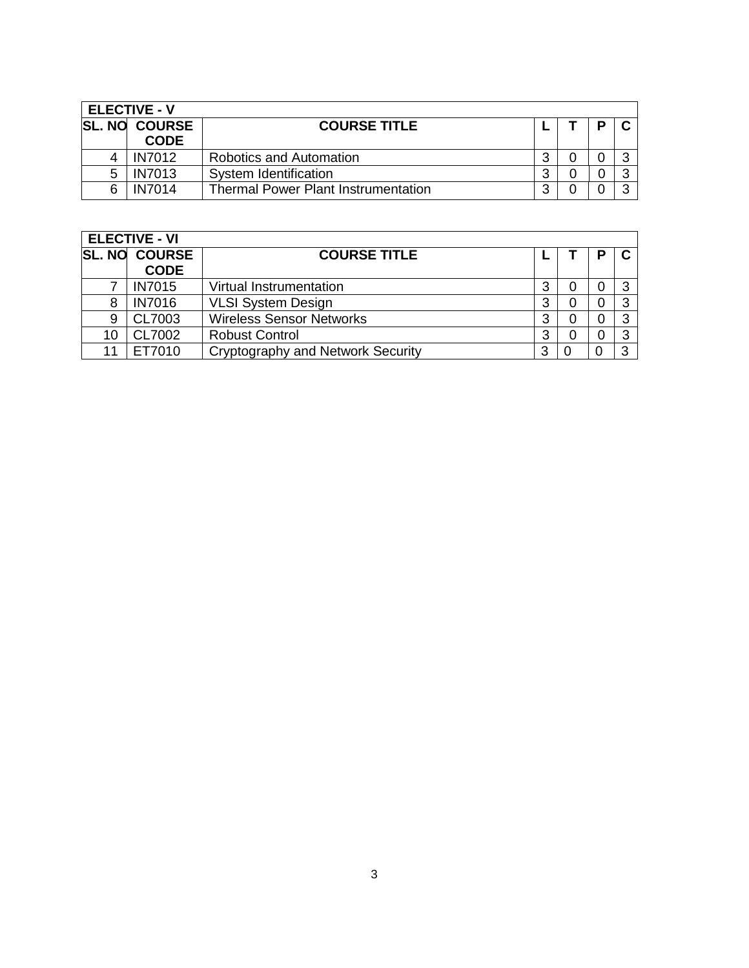| <b>ELECTIVE - V</b> |                                     |                                            |   |  |   |  |  |  |  |
|---------------------|-------------------------------------|--------------------------------------------|---|--|---|--|--|--|--|
|                     | <b>SL. NO COURSE</b><br><b>CODE</b> | <b>COURSE TITLE</b>                        |   |  | D |  |  |  |  |
|                     | <b>IN7012</b>                       | <b>Robotics and Automation</b>             | 3 |  |   |  |  |  |  |
| 5                   | <b>IN7013</b>                       | System Identification                      | 3 |  |   |  |  |  |  |
| 6                   | <b>IN7014</b>                       | <b>Thermal Power Plant Instrumentation</b> | 2 |  |   |  |  |  |  |

|    | <b>ELECTIVE - VI</b> |                                   |   |  |   |  |  |  |  |
|----|----------------------|-----------------------------------|---|--|---|--|--|--|--|
|    | <b>SL. NO COURSE</b> | <b>COURSE TITLE</b>               |   |  | D |  |  |  |  |
|    | <b>CODE</b>          |                                   |   |  |   |  |  |  |  |
|    | <b>IN7015</b>        | Virtual Instrumentation           | 3 |  |   |  |  |  |  |
| 8  | <b>IN7016</b>        | <b>VLSI System Design</b>         | 3 |  |   |  |  |  |  |
| 9  | CL7003               | <b>Wireless Sensor Networks</b>   | 3 |  |   |  |  |  |  |
| 10 | CL7002               | <b>Robust Control</b>             | 3 |  |   |  |  |  |  |
| 11 | FT7010               | Cryptography and Network Security | 3 |  |   |  |  |  |  |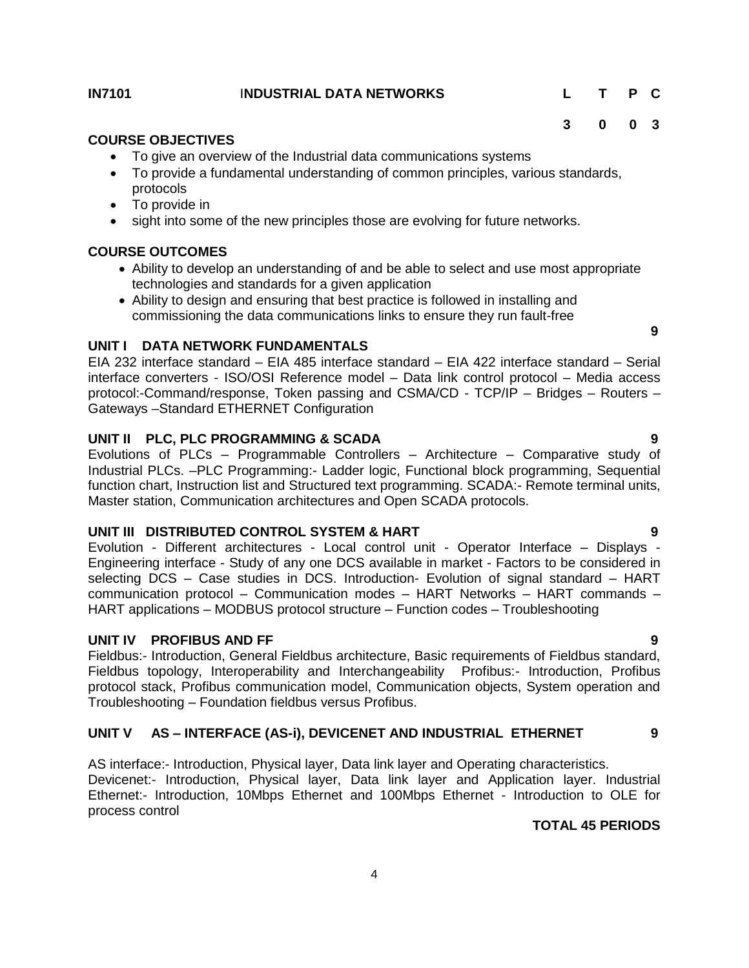# <span id="page-3-0"></span>**IN8101 7** I**NDUSTRIAL DATA NETWORKS L T P C**

**3 0 0 3**

# **COURSE OBJECTIVES**

- To give an overview of the Industrial data communications systems
- To provide a fundamental understanding of common principles, various standards, protocols
- To provide in
- sight into some of the new principles those are evolving for future networks.

# **COURSE OUTCOMES**

- Ability to develop an understanding of and be able to select and use most appropriate technologies and standards for a given application
- Ability to design and ensuring that best practice is followed in installing and commissioning the data communications links to ensure they run fault-free

### **UNIT I DATA NETWORK FUNDAMENTALS**

EIA 232 interface standard – EIA 485 interface standard – EIA 422 interface standard – Serial interface converters - ISO/OSI Reference model – Data link control protocol – Media access protocol:-Command/response, Token passing and CSMA/CD - TCP/IP – Bridges – Routers – Gateways –Standard ETHERNET Configuration

#### **UNIT II PLC, PLC PROGRAMMING & SCADA 9**

Evolutions of PLCs – Programmable Controllers – Architecture – Comparative study of Industrial PLCs. –PLC Programming:- Ladder logic, Functional block programming, Sequential function chart, Instruction list and Structured text programming. SCADA:- Remote terminal units, Master station, Communication architectures and Open SCADA protocols.

# **UNIT III DISTRIBUTED CONTROL SYSTEM & HART 9**

Evolution - Different architectures - Local control unit - Operator Interface – Displays - Engineering interface - Study of any one DCS available in market - Factors to be considered in selecting DCS – Case studies in DCS. Introduction- Evolution of signal standard – HART communication protocol – Communication modes – HART Networks – HART commands – HART applications – MODBUS protocol structure – Function codes – Troubleshooting

#### **UNIT IV PROFIBUS AND FF 9**

Fieldbus:- Introduction, General Fieldbus architecture, Basic requirements of Fieldbus standard, Fieldbus topology, Interoperability and Interchangeability Profibus:- Introduction, Profibus protocol stack, Profibus communication model, Communication objects, System operation and Troubleshooting – Foundation fieldbus versus Profibus.

# **UNIT V AS – INTERFACE (AS-i), DEVICENET AND INDUSTRIAL ETHERNET 9**

AS interface:- Introduction, Physical layer, Data link layer and Operating characteristics. Devicenet:- Introduction, Physical layer, Data link layer and Application layer. Industrial Ethernet:- Introduction, 10Mbps Ethernet and 100Mbps Ethernet - Introduction to OLE for process control

## **TOTAL 45 PERIODS**

**9**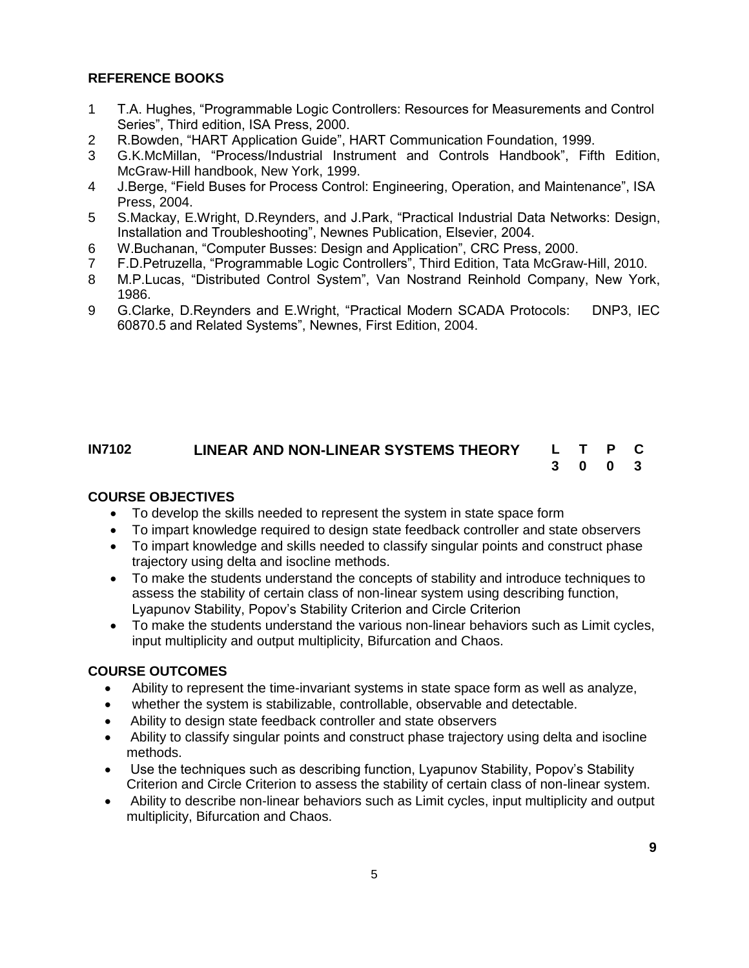# **REFERENCE BOOKS**

- 1 T.A. Hughes, "Programmable Logic Controllers: Resources for Measurements and Control Series", Third edition, ISA Press, 2000.
- 2 R.Bowden, "HART Application Guide", HART Communication Foundation, 1999.
- 3 G.K.McMillan, "Process/Industrial Instrument and Controls Handbook", Fifth Edition, McGraw-Hill handbook, New York, 1999.
- 4 J.Berge, "Field Buses for Process Control: Engineering, Operation, and Maintenance", ISA Press, 2004.
- 5 S.Mackay, E.Wright, D.Reynders, and J.Park, "Practical Industrial Data Networks: Design, Installation and Troubleshooting", Newnes Publication, Elsevier, 2004.
- 6 W.Buchanan, "Computer Busses: Design and Application", CRC Press, 2000.
- 7 F.D.Petruzella, "Programmable Logic Controllers", Third Edition, Tata McGraw-Hill, 2010.
- 8 M.P.Lucas, "Distributed Control System", Van Nostrand Reinhold Company, New York, 1986.
- 9 G.Clarke, D.Reynders and E.Wright, "Practical Modern SCADA Protocols: DNP3, IEC 60870.5 and Related Systems", Newnes, First Edition, 2004.

#### **IN7102 LINEAR AND NON-LINEAR SYSTEMS THEORY L T P C 3 0 0 3**

# **COURSE OBJECTIVES**

- To develop the skills needed to represent the system in state space form
- To impart knowledge required to design state feedback controller and state observers
- To impart knowledge and skills needed to classify singular points and construct phase trajectory using delta and isocline methods.
- To make the students understand the concepts of stability and introduce techniques to assess the stability of certain class of non-linear system using describing function, Lyapunov Stability, Popov's Stability Criterion and Circle Criterion
- To make the students understand the various non-linear behaviors such as Limit cycles, input multiplicity and output multiplicity, Bifurcation and Chaos.

# **COURSE OUTCOMES**

- Ability to represent the time-invariant systems in state space form as well as analyze,
- whether the system is stabilizable, controllable, observable and detectable.
- Ability to design state feedback controller and state observers
- Ability to classify singular points and construct phase trajectory using delta and isocline methods.
- Use the techniques such as describing function, Lyapunov Stability, Popov's Stability Criterion and Circle Criterion to assess the stability of certain class of non-linear system.
- Ability to describe non-linear behaviors such as Limit cycles, input multiplicity and output multiplicity, Bifurcation and Chaos.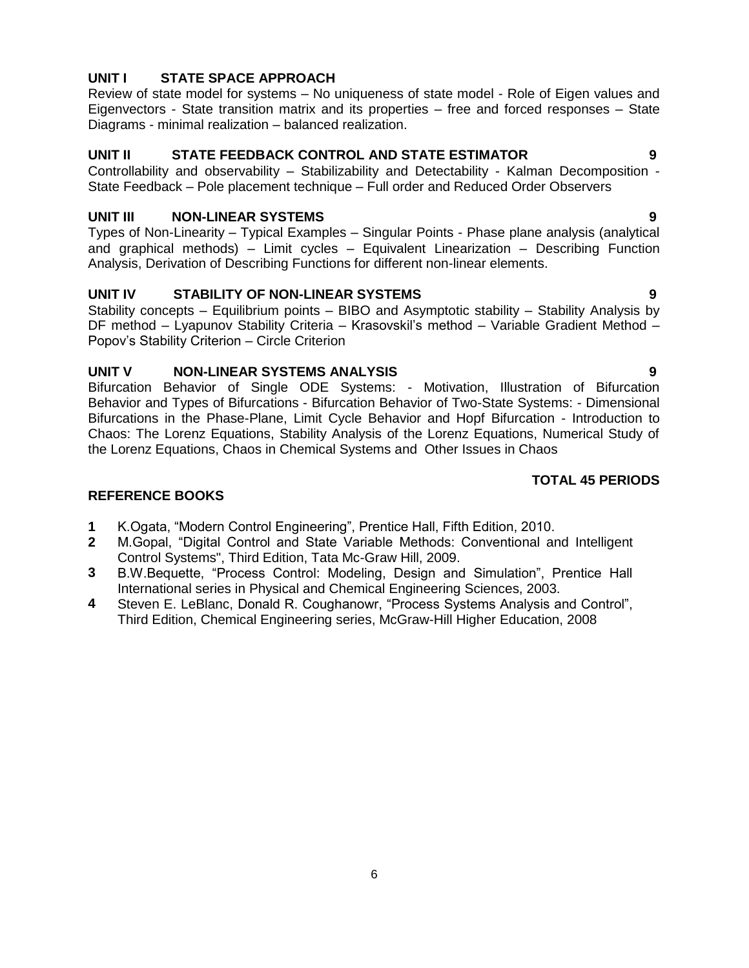# **UNIT I STATE SPACE APPROACH**

Review of state model for systems – No uniqueness of state model - Role of Eigen values and Eigenvectors - State transition matrix and its properties – free and forced responses – State Diagrams - minimal realization – balanced realization.

# **UNIT II STATE FEEDBACK CONTROL AND STATE ESTIMATOR 9**

Controllability and observability – Stabilizability and Detectability - Kalman Decomposition - State Feedback – Pole placement technique – Full order and Reduced Order Observers

# **UNIT III NON-LINEAR SYSTEMS 9**

Types of Non-Linearity – Typical Examples – Singular Points - Phase plane analysis (analytical and graphical methods) – Limit cycles – Equivalent Linearization – Describing Function Analysis, Derivation of Describing Functions for different non-linear elements.

### **UNIT IV STABILITY OF NON-LINEAR SYSTEMS 9**

Stability concepts – Equilibrium points – BIBO and Asymptotic stability – Stability Analysis by DF method – Lyapunov Stability Criteria – Krasovskil's method – Variable Gradient Method – Popov's Stability Criterion – Circle Criterion

### **UNIT V NON-LINEAR SYSTEMS ANALYSIS 9**

Bifurcation Behavior of Single ODE Systems: - Motivation, Illustration of Bifurcation Behavior and Types of Bifurcations - Bifurcation Behavior of Two-State Systems: - Dimensional Bifurcations in the Phase-Plane, Limit Cycle Behavior and Hopf Bifurcation - Introduction to Chaos: The Lorenz Equations, Stability Analysis of the Lorenz Equations, Numerical Study of the Lorenz Equations, Chaos in Chemical Systems and Other Issues in Chaos

### **TOTAL 45 PERIODS**

- **1** K.Ogata, "Modern Control Engineering", Prentice Hall, Fifth Edition, 2010.
- **2** M.Gopal, "Digital Control and State Variable Methods: Conventional and Intelligent Control Systems", Third Edition, Tata Mc-Graw Hill, 2009.
- **3** B.W.Bequette, "Process Control: Modeling, Design and Simulation", Prentice Hall International series in Physical and Chemical Engineering Sciences, 2003.
- **4** Steven E. LeBlanc, Donald R. Coughanowr, "Process Systems Analysis and Control", Third Edition, Chemical Engineering series, McGraw-Hill Higher Education, 2008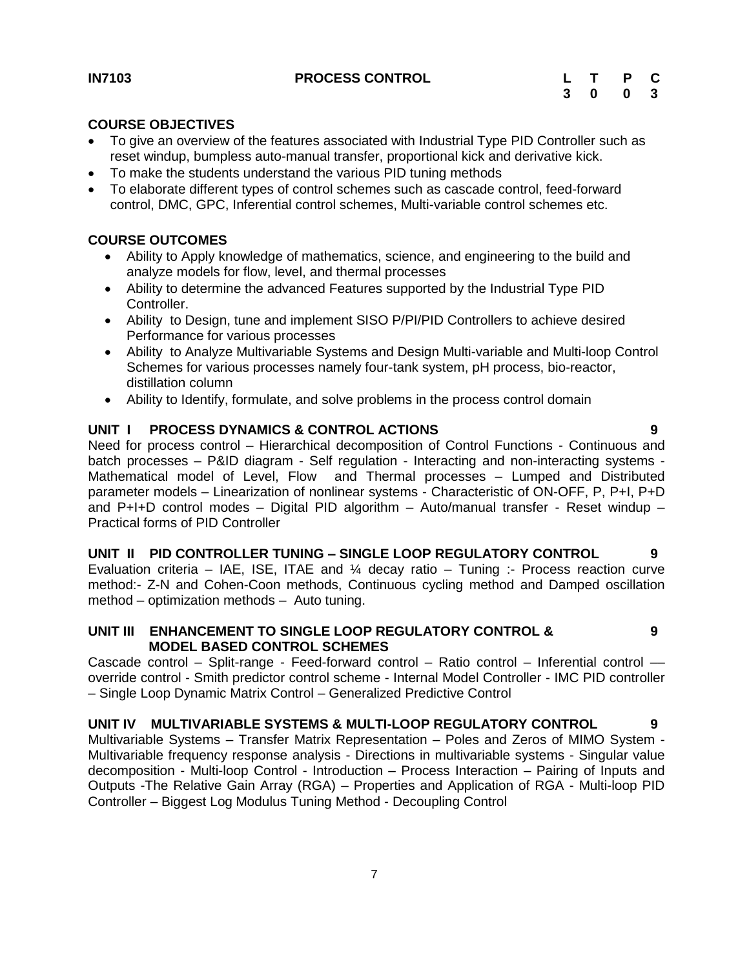# <span id="page-6-0"></span>**IN7103 PROCESS CONTROL L T P C**

### **COURSE OBJECTIVES**

- To give an overview of the features associated with Industrial Type PID Controller such as reset windup, bumpless auto-manual transfer, proportional kick and derivative kick.
- To make the students understand the various PID tuning methods
- To elaborate different types of control schemes such as cascade control, feed-forward control, DMC, GPC, Inferential control schemes, Multi-variable control schemes etc.

# **COURSE OUTCOMES**

- Ability to Apply knowledge of mathematics, science, and engineering to the build and analyze models for flow, level, and thermal processes
- Ability to determine the advanced Features supported by the Industrial Type PID Controller.
- Ability to Design, tune and implement SISO P/PI/PID Controllers to achieve desired Performance for various processes
- Ability to Analyze Multivariable Systems and Design Multi-variable and Multi-loop Control Schemes for various processes namely four-tank system, pH process, bio-reactor, distillation column
- Ability to Identify, formulate, and solve problems in the process control domain

# **UNIT I PROCESS DYNAMICS & CONTROL ACTIONS 9**

Need for process control – Hierarchical decomposition of Control Functions - Continuous and batch processes – P&ID diagram - Self regulation - Interacting and non-interacting systems - Mathematical model of Level, Flow and Thermal processes – Lumped and Distributed parameter models – Linearization of nonlinear systems - Characteristic of ON-OFF, P, P+I, P+D and P+I+D control modes – Digital PID algorithm – Auto/manual transfer - Reset windup – Practical forms of PID Controller

**UNIT II PID CONTROLLER TUNING – SINGLE LOOP REGULATORY CONTROL 9** Evaluation criteria – IAE, ISE, ITAE and  $\frac{1}{4}$  decay ratio – Tuning :- Process reaction curve method:- Z-N and Cohen-Coon methods, Continuous cycling method and Damped oscillation method – optimization methods – Auto tuning.

#### **UNIT III ENHANCEMENT TO SINGLE LOOP REGULATORY CONTROL & MODEL BASED CONTROL SCHEMES 9**

Cascade control – Split-range - Feed-forward control – Ratio control – Inferential control –– override control - Smith predictor control scheme - Internal Model Controller - IMC PID controller – Single Loop Dynamic Matrix Control – Generalized Predictive Control

# **UNIT IV MULTIVARIABLE SYSTEMS & MULTI-LOOP REGULATORY CONTROL 9**

Multivariable Systems – Transfer Matrix Representation – Poles and Zeros of MIMO System - Multivariable frequency response analysis - Directions in multivariable systems - Singular value decomposition - Multi-loop Control - Introduction – Process Interaction – Pairing of Inputs and Outputs -The Relative Gain Array (RGA) – Properties and Application of RGA - Multi-loop PID Controller – Biggest Log Modulus Tuning Method - Decoupling Control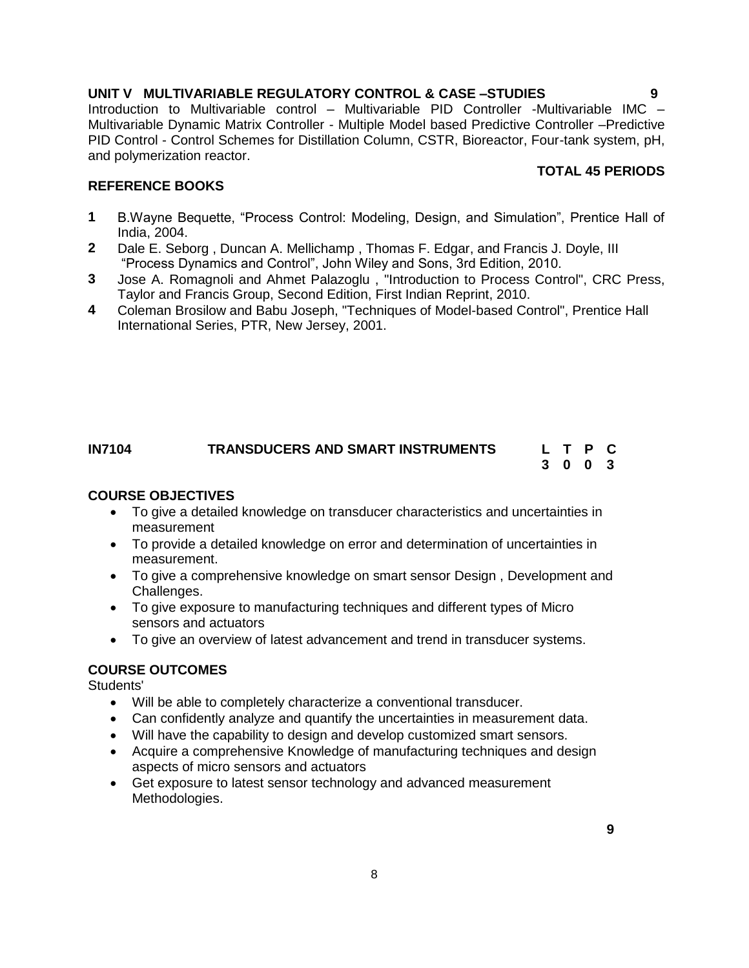# **UNIT V MULTIVARIABLE REGULATORY CONTROL & CASE –STUDIES 9**

Introduction to Multivariable control – Multivariable PID Controller -Multivariable IMC – Multivariable Dynamic Matrix Controller - Multiple Model based Predictive Controller –Predictive PID Control - Control Schemes for Distillation Column, CSTR, Bioreactor, Four-tank system, pH, and polymerization reactor.

### **REFERENCE BOOKS**

- **1** B.Wayne Bequette, "Process Control: Modeling, Design, and Simulation", Prentice Hall of India, 2004.
- **2** [Dale E. Seborg](http://as.wiley.com/WileyCDA/Section/id-302477.html?query=Dale+E.+Seborg) , [Duncan A. Mellichamp](http://as.wiley.com/WileyCDA/Section/id-302477.html?query=Duncan+A.+Mellichamp) , [Thomas F. Edgar,](http://as.wiley.com/WileyCDA/Section/id-302477.html?query=Thomas+F.+Edgar) and [Francis J. Doyle, III](http://as.wiley.com/WileyCDA/Section/id-302477.html?query=Francis+J.+Doyle%2C+III) "Process Dynamics and Control", John Wiley and Sons, 3rd Edition, 2010.
- **3** Jose A. Romagnoli and Ahmet Palazoglu , "Introduction to Process Control", CRC Press, Taylor and Francis Group, Second Edition, First Indian Reprint, 2010.
- **4** Coleman Brosilow and Babu Joseph, "Techniques of Model-based Control", Prentice Hall International Series, PTR, New Jersey, 2001.

#### <span id="page-7-0"></span>**IN7104 TRANSDUCERS AND SMART INSTRUMENTS L T P C 3 0 0 3**

#### **COURSE OBJECTIVES**

- To give a detailed knowledge on transducer characteristics and uncertainties in measurement
- To provide a detailed knowledge on error and determination of uncertainties in measurement.
- To give a comprehensive knowledge on smart sensor Design , Development and Challenges.
- To give exposure to manufacturing techniques and different types of Micro sensors and actuators
- To give an overview of latest advancement and trend in transducer systems.

# **COURSE OUTCOMES**

Students'

- Will be able to completely characterize a conventional transducer.
- Can confidently analyze and quantify the uncertainties in measurement data.
- Will have the capability to design and develop customized smart sensors.
- Acquire a comprehensive Knowledge of manufacturing techniques and design aspects of micro sensors and actuators
- Get exposure to latest sensor technology and advanced measurement Methodologies.

# **TOTAL 45 PERIODS**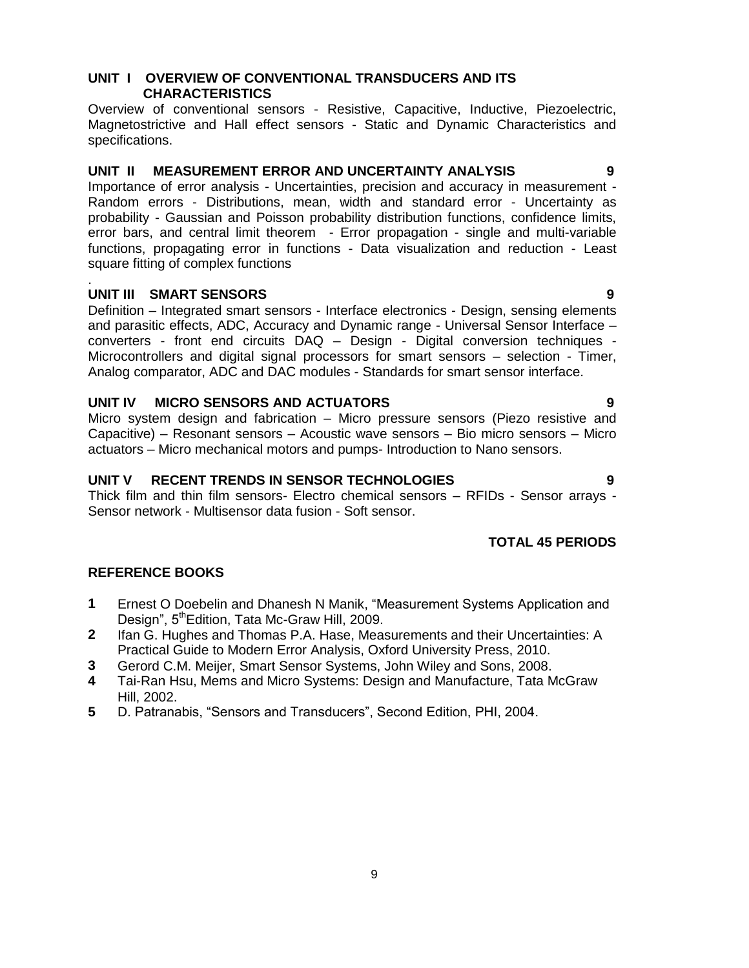### **UNIT I OVERVIEW OF CONVENTIONAL TRANSDUCERS AND ITS CHARACTERISTICS**

Overview of conventional sensors - Resistive, Capacitive, Inductive, Piezoelectric, Magnetostrictive and Hall effect sensors - Static and Dynamic Characteristics and specifications.

### **UNIT II MEASUREMENT ERROR AND UNCERTAINTY ANALYSIS 9**

Importance of error analysis - Uncertainties, precision and accuracy in measurement - Random errors - Distributions, mean, width and standard error - Uncertainty as probability - Gaussian and Poisson probability distribution functions, confidence limits, error bars, and central limit theorem - Error propagation - single and multi-variable functions, propagating error in functions - Data visualization and reduction - Least square fitting of complex functions

#### . **UNIT III SMART SENSORS 9**

Definition – Integrated smart sensors - Interface electronics - Design, sensing elements and parasitic effects, ADC, Accuracy and Dynamic range - Universal Sensor Interface – converters - front end circuits DAQ – Design - Digital conversion techniques - Microcontrollers and digital signal processors for smart sensors – selection - Timer, Analog comparator, ADC and DAC modules - Standards for smart sensor interface.

# **UNIT IV MICRO SENSORS AND ACTUATORS 9**

Micro system design and fabrication – Micro pressure sensors (Piezo resistive and Capacitive) – Resonant sensors – Acoustic wave sensors – Bio micro sensors – Micro actuators – Micro mechanical motors and pumps- Introduction to Nano sensors.

### **UNIT V RECENT TRENDS IN SENSOR TECHNOLOGIES 9**

Thick film and thin film sensors- Electro chemical sensors – RFIDs - Sensor arrays - Sensor network - Multisensor data fusion - Soft sensor.

# **TOTAL 45 PERIODS**

- **1** [Ernest O Doebelin](http://www.tatamcgrawhill.com/cgi-bin/same_author.pl?author=Ernest+Doebelin) and [Dhanesh N Manik,](http://www.tatamcgrawhill.com/cgi-bin/same_author.pl?author=Dhanesh+Manik) "Measurement Systems Application and Design", 5<sup>th</sup>Edition, Tata Mc-Graw Hill, 2009.
- **2** Ifan G. Hughes and Thomas P.A. Hase, Measurements and their Uncertainties: A Practical Guide to Modern Error Analysis, Oxford University Press, 2010.
- **3** Gerord C.M. Meijer, Smart Sensor Systems, John Wiley and Sons, 2008.
- **4** Tai-Ran Hsu, Mems and Micro Systems: Design and Manufacture, Tata McGraw Hill, 2002.
- **5** D. Patranabis, "Sensors and Transducers", Second Edition, PHI, 2004.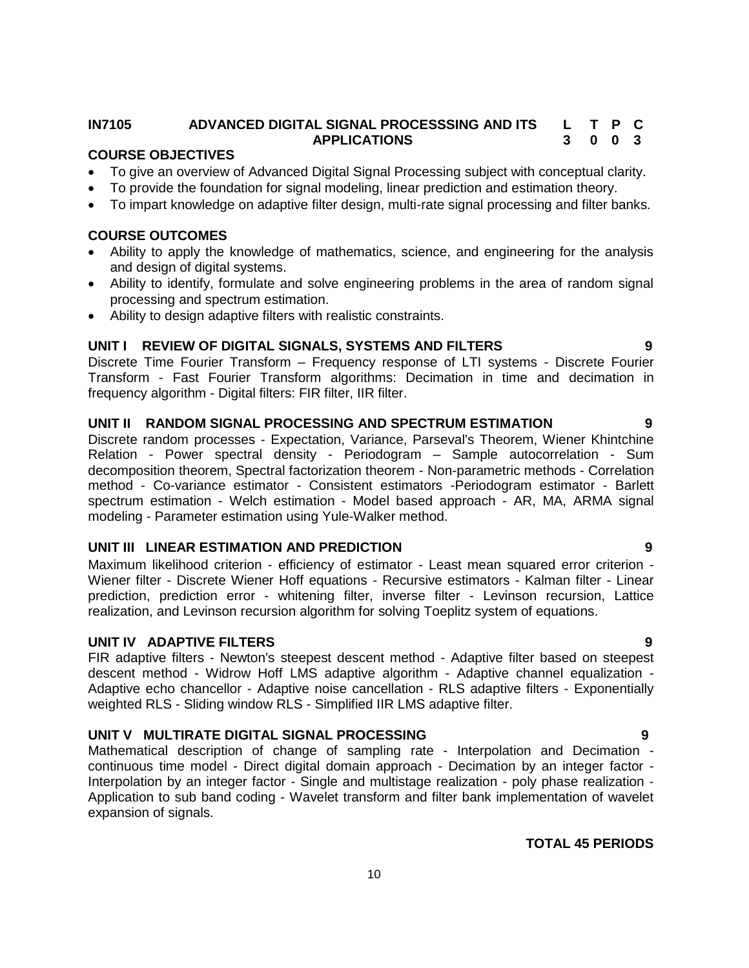#### <span id="page-9-0"></span>**IN7105 ADVANCED DIGITAL SIGNAL PROCESSSING AND ITS APPLICATIONS L T P C 3 0 0 3**

#### **COURSE OBJECTIVES**

- To give an overview of Advanced Digital Signal Processing subject with conceptual clarity.
- To provide the foundation for signal modeling, linear prediction and estimation theory.
- To impart knowledge on adaptive filter design, multi-rate signal processing and filter banks.

# **COURSE OUTCOMES**

- Ability to apply the knowledge of mathematics, science, and engineering for the analysis and design of digital systems.
- Ability to identify, formulate and solve engineering problems in the area of random signal processing and spectrum estimation.
- Ability to design adaptive filters with realistic constraints.

#### **UNIT I REVIEW OF DIGITAL SIGNALS, SYSTEMS AND FILTERS 9**

Discrete Time Fourier Transform – Frequency response of LTI systems - Discrete Fourier Transform - Fast Fourier Transform algorithms: Decimation in time and decimation in frequency algorithm - Digital filters: FIR filter, IIR filter.

#### **UNIT II RANDOM SIGNAL PROCESSING AND SPECTRUM ESTIMATION 9**

Discrete random processes - Expectation, Variance, Parseval's Theorem, Wiener Khintchine Relation - Power spectral density - Periodogram – Sample autocorrelation - Sum decomposition theorem, Spectral factorization theorem - Non-parametric methods - Correlation method - Co-variance estimator - Consistent estimators -Periodogram estimator - Barlett spectrum estimation - Welch estimation - Model based approach - AR, MA, ARMA signal modeling - Parameter estimation using Yule-Walker method.

### **UNIT III LINEAR ESTIMATION AND PREDICTION 9**

Maximum likelihood criterion - efficiency of estimator - Least mean squared error criterion - Wiener filter - Discrete Wiener Hoff equations - Recursive estimators - Kalman filter - Linear prediction, prediction error - whitening filter, inverse filter - Levinson recursion, Lattice realization, and Levinson recursion algorithm for solving Toeplitz system of equations.

#### **UNIT IV ADAPTIVE FILTERS 9**

FIR adaptive filters - Newton's steepest descent method - Adaptive filter based on steepest descent method - Widrow Hoff LMS adaptive algorithm - Adaptive channel equalization - Adaptive echo chancellor - Adaptive noise cancellation - RLS adaptive filters - Exponentially weighted RLS - Sliding window RLS - Simplified IIR LMS adaptive filter.

#### **UNIT V MULTIRATE DIGITAL SIGNAL PROCESSING 9**

Mathematical description of change of sampling rate - Interpolation and Decimation continuous time model - Direct digital domain approach - Decimation by an integer factor - Interpolation by an integer factor - Single and multistage realization - poly phase realization - Application to sub band coding - Wavelet transform and filter bank implementation of wavelet expansion of signals.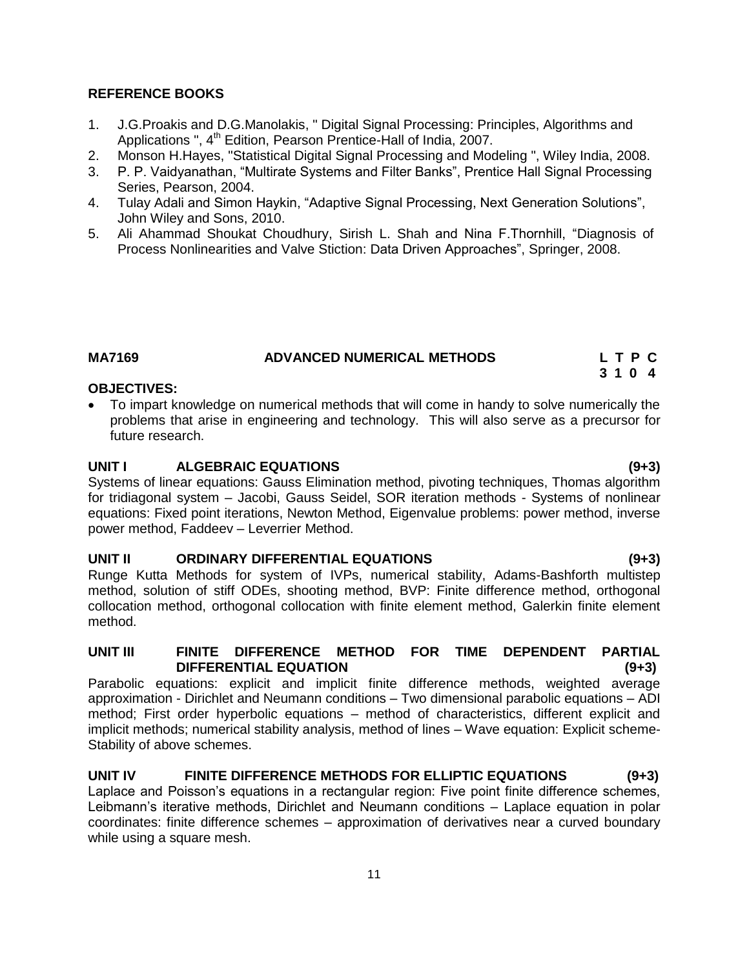### **REFERENCE BOOKS**

- 1. J.G.Proakis and D.G.Manolakis, " Digital Signal Processing: Principles, Algorithms and Applications ", 4<sup>th</sup> Edition, Pearson Prentice-Hall of India, 2007.
- 2. Monson H.Hayes, "Statistical Digital Signal Processing and Modeling ", Wiley India, 2008.
- 3. P. P. Vaidyanathan, "Multirate Systems and Filter Banks", Prentice Hall Signal Processing Series, Pearson, 2004.
- 4. Tulay Adali and Simon Haykin, "Adaptive Signal Processing, Next Generation Solutions", John Wiley and Sons, 2010.
- 5. [Ali Ahammad Shoukat Choudhury,](http://www.google.co.in/search?tbo=p&tbm=bks&q=inauthor:%22Ali+Ahammad+Shoukat+Choudhury%22) [Sirish L. Shah](http://www.google.co.in/search?tbo=p&tbm=bks&q=inauthor:%22Sirish+L.+Shah%22) and Nina F.Thornhill, "Diagnosis of Process Nonlinearities and Valve Stiction: Data Driven Approaches", Springer, 2008.

### **MA7169 ADVANCED NUMERICAL METHODS L T P C**

# **3 1 0 4**

### **OBJECTIVES:**

 To impart knowledge on numerical methods that will come in handy to solve numerically the problems that arise in engineering and technology. This will also serve as a precursor for future research.

### **UNIT I ALGEBRAIC EQUATIONS (9+3)**

Systems of linear equations: Gauss Elimination method, pivoting techniques, Thomas algorithm for tridiagonal system – Jacobi, Gauss Seidel, SOR iteration methods - Systems of nonlinear equations: Fixed point iterations, Newton Method, Eigenvalue problems: power method, inverse power method, Faddeev – Leverrier Method.

#### **UNIT II ORDINARY DIFFERENTIAL EQUATIONS (9+3)**

Runge Kutta Methods for system of IVPs, numerical stability, Adams-Bashforth multistep method, solution of stiff ODEs, shooting method, BVP: Finite difference method, orthogonal collocation method, orthogonal collocation with finite element method, Galerkin finite element method.

#### **UNIT III FINITE DIFFERENCE METHOD FOR TIME DEPENDENT PARTIAL DIFFERENTIAL EQUATION (9+3)**

Parabolic equations: explicit and implicit finite difference methods, weighted average approximation - Dirichlet and Neumann conditions – Two dimensional parabolic equations – ADI method; First order hyperbolic equations – method of characteristics, different explicit and implicit methods; numerical stability analysis, method of lines – Wave equation: Explicit scheme-Stability of above schemes.

#### **UNIT IV FINITE DIFFERENCE METHODS FOR ELLIPTIC EQUATIONS (9+3)**

Laplace and Poisson's equations in a rectangular region: Five point finite difference schemes, Leibmann's iterative methods, Dirichlet and Neumann conditions – Laplace equation in polar coordinates: finite difference schemes – approximation of derivatives near a curved boundary while using a square mesh.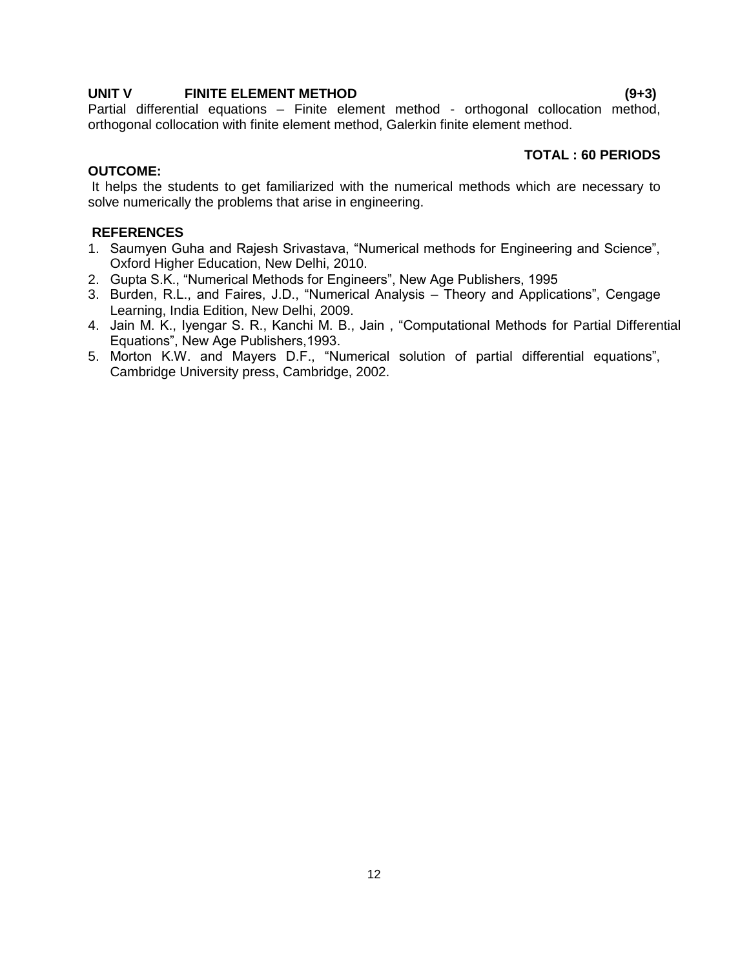#### **UNIT V FINITE ELEMENT METHOD (9+3)**

Partial differential equations – Finite element method - orthogonal collocation method, orthogonal collocation with finite element method, Galerkin finite element method.

# **TOTAL : 60 PERIODS**

### **OUTCOME:**

It helps the students to get familiarized with the numerical methods which are necessary to solve numerically the problems that arise in engineering.

# **REFERENCES**

- 1. Saumyen Guha and Rajesh Srivastava, "Numerical methods for Engineering and Science", Oxford Higher Education, New Delhi, 2010.
- 2. Gupta S.K., "Numerical Methods for Engineers", New Age Publishers, 1995
- 3. Burden, R.L., and Faires, J.D., "Numerical Analysis Theory and Applications", Cengage Learning, India Edition, New Delhi, 2009.
- 4. Jain M. K., Iyengar S. R., Kanchi M. B., Jain , "Computational Methods for Partial Differential Equations", New Age Publishers,1993.
- 5. Morton K.W. and Mayers D.F., "Numerical solution of partial differential equations", Cambridge University press, Cambridge, 2002.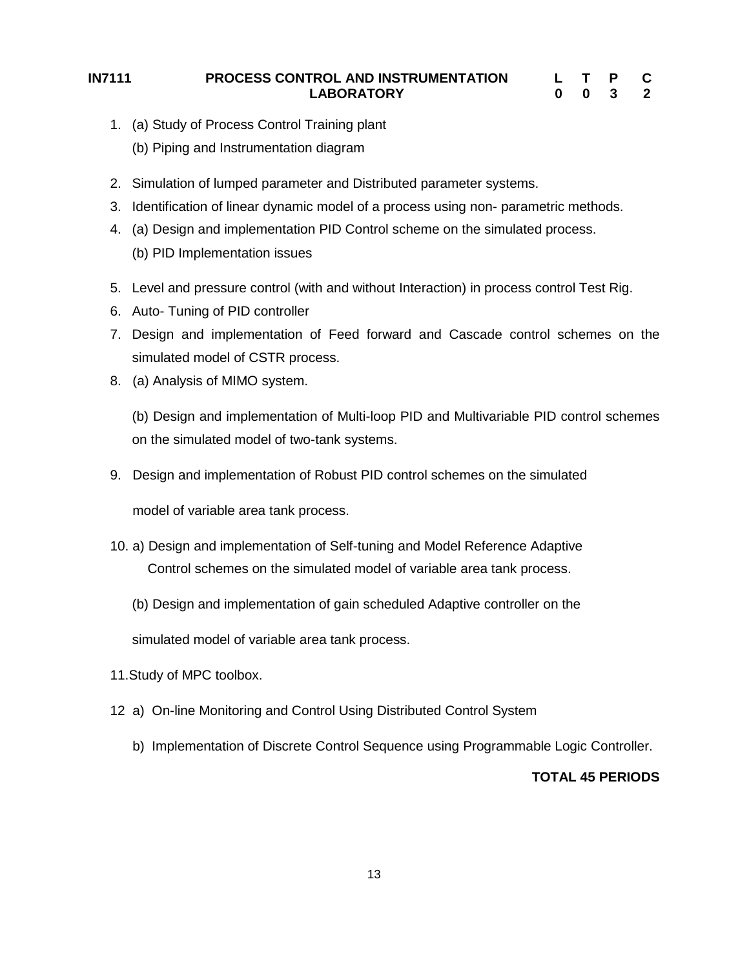#### **IN7111 PROCESS CONTROL AND INSTRUMENTATION LABORATORY L 0 T 0 P 3 C 2**

- <span id="page-12-0"></span>1. (a) Study of Process Control Training plant
	- (b) Piping and Instrumentation diagram
- 2. Simulation of lumped parameter and Distributed parameter systems.
- 3. Identification of linear dynamic model of a process using non- parametric methods.
- 4. (a) Design and implementation PID Control scheme on the simulated process. (b) PID Implementation issues
- 5. Level and pressure control (with and without Interaction) in process control Test Rig.
- 6. Auto- Tuning of PID controller
- 7. Design and implementation of Feed forward and Cascade control schemes on the simulated model of CSTR process.
- 8. (a) Analysis of MIMO system.

(b) Design and implementation of Multi-loop PID and Multivariable PID control schemes on the simulated model of two-tank systems.

9. Design and implementation of Robust PID control schemes on the simulated

model of variable area tank process.

- 10. a) Design and implementation of Self-tuning and Model Reference Adaptive Control schemes on the simulated model of variable area tank process.
	- (b) Design and implementation of gain scheduled Adaptive controller on the

simulated model of variable area tank process.

- 11.Study of MPC toolbox.
- 12 a) On-line Monitoring and Control Using Distributed Control System
	- b) Implementation of Discrete Control Sequence using Programmable Logic Controller.

# **TOTAL 45 PERIODS**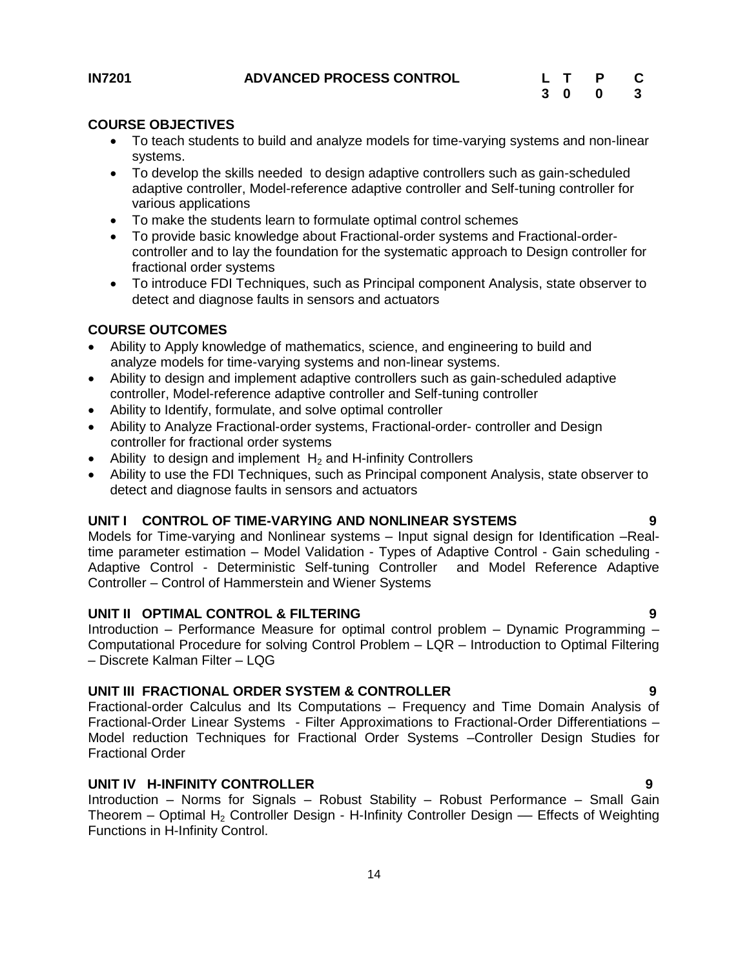<span id="page-13-0"></span>

### **COURSE OBJECTIVES**

- To teach students to build and analyze models for time-varying systems and non-linear systems.
- To develop the skills needed to design adaptive controllers such as gain-scheduled adaptive controller, Model-reference adaptive controller and Self-tuning controller for various applications
- To make the students learn to formulate optimal control schemes
- To provide basic knowledge about Fractional-order systems and Fractional-ordercontroller and to lay the foundation for the systematic approach to Design controller for fractional order systems
- To introduce FDI Techniques, such as Principal component Analysis, state observer to detect and diagnose faults in sensors and actuators

# **COURSE OUTCOMES**

- Ability to Apply knowledge of mathematics, science, and engineering to build and analyze models for time-varying systems and non-linear systems.
- Ability to design and implement adaptive controllers such as gain-scheduled adaptive controller, Model-reference adaptive controller and Self-tuning controller
- Ability to Identify, formulate, and solve optimal controller
- Ability to Analyze Fractional-order systems, Fractional-order- controller and Design controller for fractional order systems
- Ability to design and implement  $H_2$  and H-infinity Controllers
- Ability to use the FDI Techniques, such as Principal component Analysis, state observer to detect and diagnose faults in sensors and actuators

# **UNIT I CONTROL OF TIME-VARYING AND NONLINEAR SYSTEMS 9**

Models for Time-varying and Nonlinear systems – Input signal design for Identification –Realtime parameter estimation – Model Validation - Types of Adaptive Control - Gain scheduling - Adaptive Control - Deterministic Self-tuning Controller and Model Reference Adaptive Controller – Control of Hammerstein and Wiener Systems

#### **UNIT II OPTIMAL CONTROL & FILTERING 9**

Introduction – Performance Measure for optimal control problem – Dynamic Programming – Computational Procedure for solving Control Problem – LQR – Introduction to Optimal Filtering – Discrete Kalman Filter – LQG

# **UNIT III FRACTIONAL ORDER SYSTEM & CONTROLLER 9**

Fractional-order Calculus and Its Computations – Frequency and Time Domain Analysis of Fractional-Order Linear Systems - Filter Approximations to Fractional-Order Differentiations – Model reduction Techniques for Fractional Order Systems –Controller Design Studies for Fractional Order

#### **UNIT IV H-INFINITY CONTROLLER 9**

Introduction – Norms for Signals – Robust Stability – Robust Performance – Small Gain Theorem – Optimal H<sub>2</sub> Controller Design - H-Infinity Controller Design — Effects of Weighting Functions in H-Infinity Control.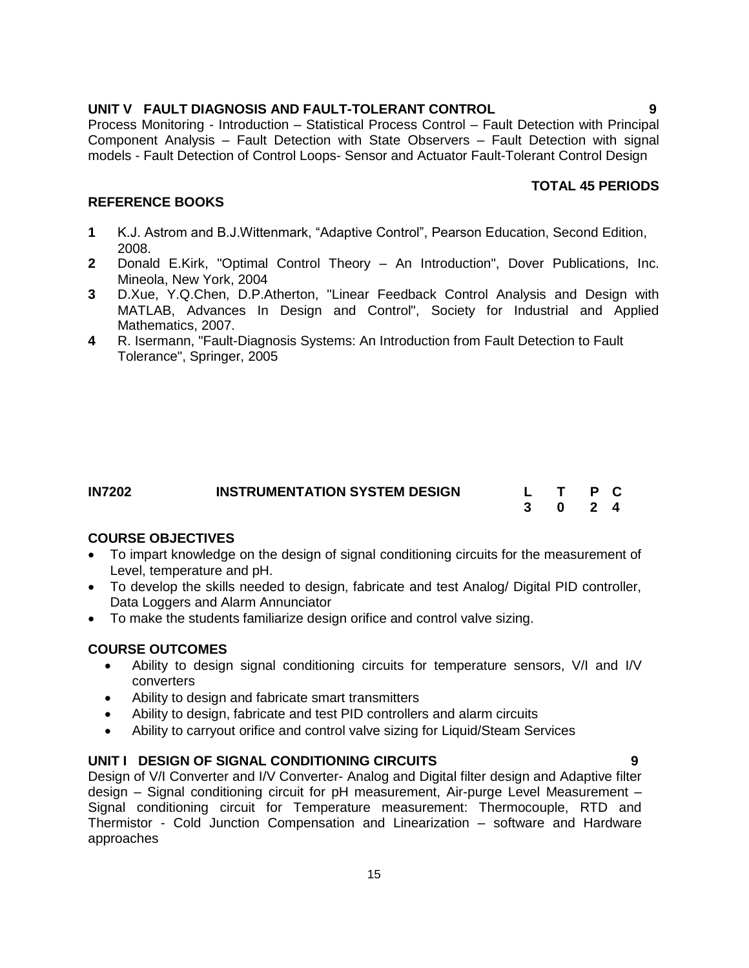# **UNIT V FAULT DIAGNOSIS AND FAULT-TOLERANT CONTROL 9**

Process Monitoring - Introduction – Statistical Process Control – Fault Detection with Principal Component Analysis – Fault Detection with State Observers – Fault Detection with signal models - Fault Detection of Control Loops- Sensor and Actuator Fault-Tolerant Control Design

#### **TOTAL 45 PERIODS**

#### **REFERENCE BOOKS**

- **1** K.J. Astrom and B.J.Wittenmark, "Adaptive Control", Pearson Education, Second Edition, 2008.
- **2** Donald E.Kirk, "Optimal Control Theory An Introduction", Dover Publications, Inc. Mineola, New York, 2004
- **3** D.Xue, Y.Q.Chen, D.P.Atherton, "Linear Feedback Control Analysis and Design with MATLAB, Advances In Design and Control", Society for Industrial and Applied Mathematics, 2007.
- **4** R. Isermann, "Fault-Diagnosis Systems: An Introduction from Fault Detection to Fault Tolerance", Springer, 2005

<span id="page-14-0"></span>

| <b>IN7202</b> | <b>INSTRUMENTATION SYSTEM DESIGN</b> | L T P C |  |  |
|---------------|--------------------------------------|---------|--|--|
|               |                                      | 3 0 2 4 |  |  |

#### **COURSE OBJECTIVES**

- To impart knowledge on the design of signal conditioning circuits for the measurement of Level, temperature and pH.
- To develop the skills needed to design, fabricate and test Analog/ Digital PID controller, Data Loggers and Alarm Annunciator
- To make the students familiarize design orifice and control valve sizing.

#### **COURSE OUTCOMES**

- Ability to design signal conditioning circuits for temperature sensors, V/I and I/V converters
- Ability to design and fabricate smart transmitters
- Ability to design, fabricate and test PID controllers and alarm circuits
- Ability to carryout orifice and control valve sizing for Liquid/Steam Services

### **UNIT I DESIGN OF SIGNAL CONDITIONING CIRCUITS 9**

Design of V/I Converter and I/V Converter- Analog and Digital filter design and Adaptive filter design – Signal conditioning circuit for pH measurement, Air-purge Level Measurement – Signal conditioning circuit for Temperature measurement: Thermocouple, RTD and Thermistor - Cold Junction Compensation and Linearization – software and Hardware approaches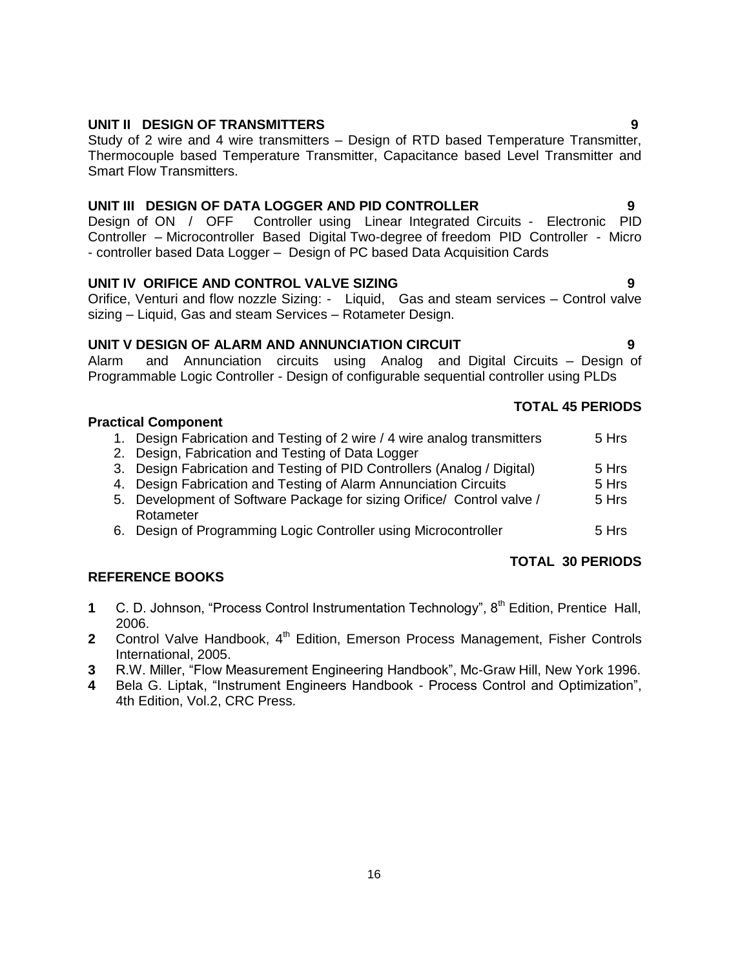# **UNIT II DESIGN OF TRANSMITTERS 9**

Study of 2 wire and 4 wire transmitters – Design of RTD based Temperature Transmitter, Thermocouple based Temperature Transmitter, Capacitance based Level Transmitter and Smart Flow Transmitters.

# **UNIT III DESIGN OF DATA LOGGER AND PID CONTROLLER 9**

Design of ON / OFF Controller using Linear Integrated Circuits - Electronic PID Controller – Microcontroller Based Digital Two-degree of freedom PID Controller - Micro - controller based Data Logger – Design of PC based Data Acquisition Cards

# **UNIT IV ORIFICE AND CONTROL VALVE SIZING 9**

Orifice, Venturi and flow nozzle Sizing: - Liquid, Gas and steam services – Control valve sizing – Liquid, Gas and steam Services – Rotameter Design.

# **UNIT V DESIGN OF ALARM AND ANNUNCIATION CIRCUIT 9**

Alarm and Annunciation circuits using Analog and Digital Circuits – Design of Programmable Logic Controller - Design of configurable sequential controller using PLDs

# **Practical Component**

- 1. Design Fabrication and Testing of 2 wire / 4 wire analog transmitters 5 Hrs 2. Design, Fabrication and Testing of Data Logger 3. Design Fabrication and Testing of PID Controllers (Analog / Digital) 5 Hrs 4. Design Fabrication and Testing of Alarm Annunciation Circuits **5 Hrs** 5. Development of Software Package for sizing Orifice/ Control valve / Rotameter 5 Hrs
	- 6. Design of Programming Logic Controller using Microcontroller 5 Hrs

# **REFERENCE BOOKS**

- **1** C. D. Johnson, "Process Control Instrumentation Technology", 8<sup>th</sup> Edition, Prentice Hall, 2006.
- **2** Control Valve Handbook, 4<sup>th</sup> Edition, Emerson Process Management, Fisher Controls International, 2005.
- **3** R.W. Miller, "Flow Measurement Engineering Handbook", Mc-Graw Hill, New York 1996.
- **4** Bela G. Liptak, "Instrument Engineers Handbook Process Control and Optimization", 4th Edition, Vol.2, CRC Press.

# **TOTAL 45 PERIODS**

**TOTAL 30 PERIODS**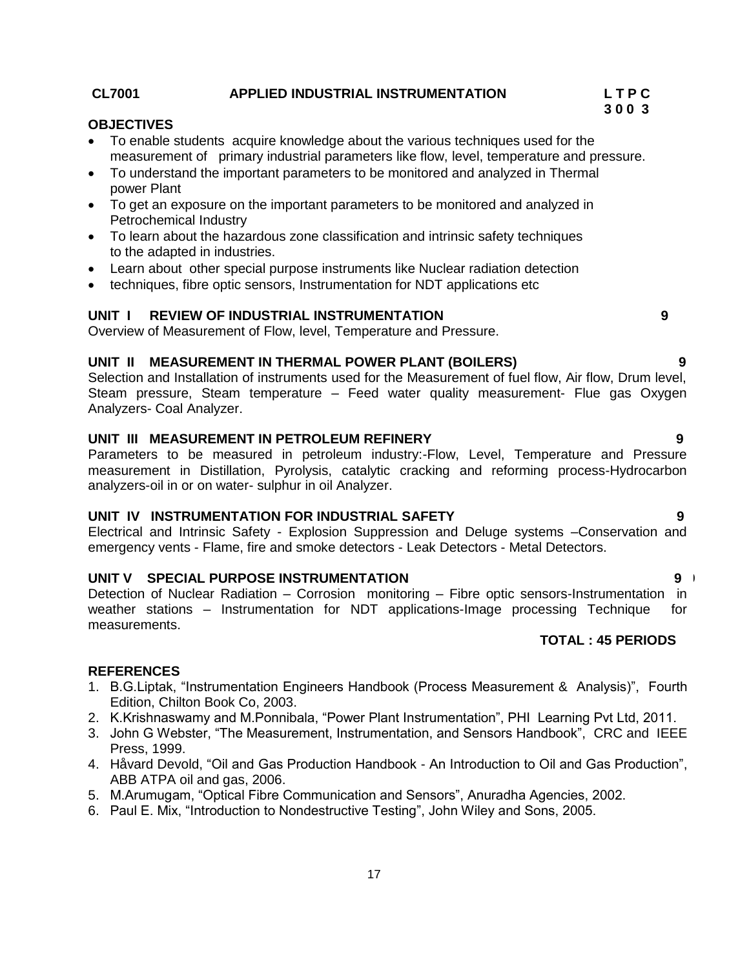#### **CL7001 APPLIED INDUSTRIAL INSTRUMENTATION L T P C**

#### **OBJECTIVES**

- To enable students acquire knowledge about the various techniques used for the measurement of primary industrial parameters like flow, level, temperature and pressure.
- To understand the important parameters to be monitored and analyzed in Thermal power Plant
- To get an exposure on the important parameters to be monitored and analyzed in Petrochemical Industry
- To learn about the hazardous zone classification and intrinsic safety techniques to the adapted in industries.
- Learn about other special purpose instruments like Nuclear radiation detection
- techniques, fibre optic sensors, Instrumentation for NDT applications etc

### **UNIT I REVIEW OF INDUSTRIAL INSTRUMENTATION 9**

Overview of Measurement of Flow, level, Temperature and Pressure.

#### **UNIT II MEASUREMENT IN THERMAL POWER PLANT (BOILERS) 9**

Selection and Installation of instruments used for the Measurement of fuel flow, Air flow, Drum level, Steam pressure, Steam temperature – Feed water quality measurement- Flue gas Oxygen Analyzers- Coal Analyzer.

#### **UNIT III MEASUREMENT IN PETROLEUM REFINERY 9**

Parameters to be measured in petroleum industry:-Flow, Level, Temperature and Pressure measurement in Distillation, Pyrolysis, catalytic cracking and reforming process-Hydrocarbon analyzers-oil in or on water- sulphur in oil Analyzer.

#### **UNIT IV INSTRUMENTATION FOR INDUSTRIAL SAFETY 9**

Electrical and Intrinsic Safety - Explosion Suppression and Deluge systems –Conservation and emergency vents - Flame, fire and smoke detectors - Leak Detectors - Metal Detectors.

### **UNIT V SPECIAL PURPOSE INSTRUMENTATION 9 9**

Detection of Nuclear Radiation – Corrosion monitoring – Fibre optic sensors-Instrumentation in weather stations – Instrumentation for NDT applications-Image processing Technique for measurements.

# **TOTAL : 45 PERIODS**

#### **REFERENCES**

- 1. B.G.Liptak, "Instrumentation Engineers Handbook (Process Measurement & Analysis)", Fourth Edition, Chilton Book Co, 2003.
- 2. K.Krishnaswamy and M.Ponnibala, "Power Plant Instrumentation", PHI Learning Pvt Ltd, 2011.
- 3. John G Webster, "The Measurement, Instrumentation, and Sensors Handbook", CRC and IEEE Press, 1999.
- 4. Håvard Devold, "Oil and Gas Production Handbook An Introduction to Oil and Gas Production", ABB ATPA oil and gas, 2006.
- 5. M.Arumugam, "Optical Fibre Communication and Sensors", Anuradha Agencies, 2002.
- 6. Paul E. Mix, "Introduction to Nondestructive Testing", John Wiley and Sons, 2005.

# **3 0 0 3**

- 
-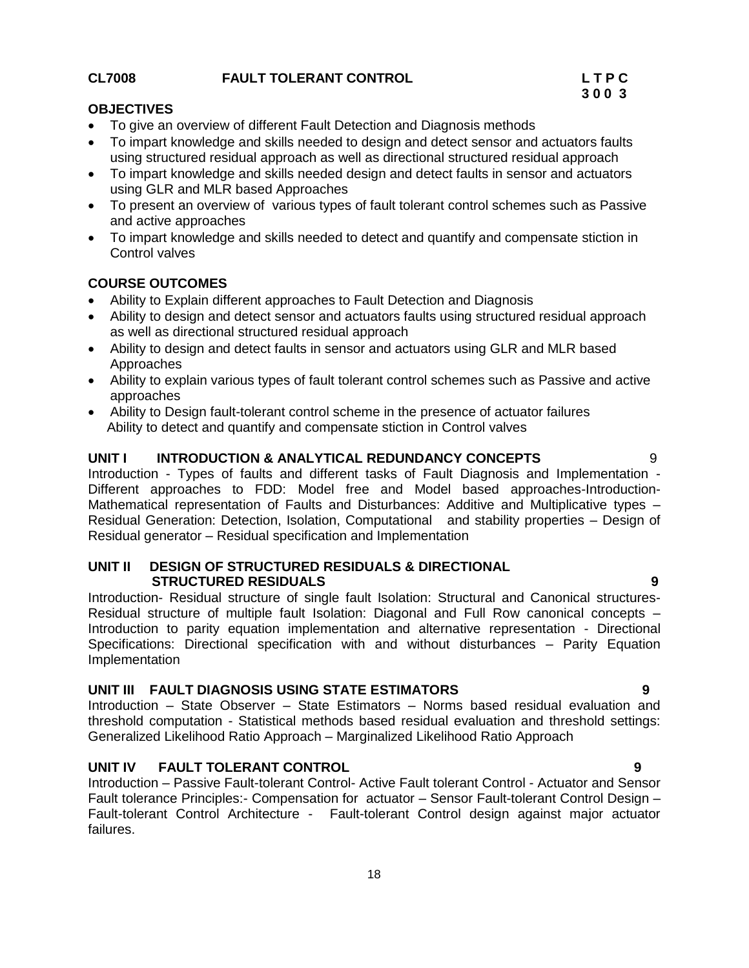### **CL7008 FAULT TOLERANT CONTROL L T P C**

Introduction – Passive Fault-tolerant Control- Active Fault tolerant Control - Actuator and Sensor Fault tolerance Principles:- Compensation for actuator – Sensor Fault-tolerant Control Design – Fault-tolerant Control Architecture - Fault-tolerant Control design against major actuator failures.

18

#### **OBJECTIVES**

- To give an overview of different Fault Detection and Diagnosis methods
- To impart knowledge and skills needed to design and detect sensor and actuators faults using structured residual approach as well as directional structured residual approach
- To impart knowledge and skills needed design and detect faults in sensor and actuators using GLR and MLR based Approaches
- To present an overview of various types of fault tolerant control schemes such as Passive and active approaches
- To impart knowledge and skills needed to detect and quantify and compensate stiction in Control valves

### **COURSE OUTCOMES**

- Ability to Explain different approaches to Fault Detection and Diagnosis
- Ability to design and detect sensor and actuators faults using structured residual approach as well as directional structured residual approach
- Ability to design and detect faults in sensor and actuators using GLR and MLR based Approaches
- Ability to explain various types of fault tolerant control schemes such as Passive and active approaches
- Ability to Design fault-tolerant control scheme in the presence of actuator failures Ability to detect and quantify and compensate stiction in Control valves

#### **UNIT I INTRODUCTION & ANALYTICAL REDUNDANCY CONCEPTS** 9

Introduction - Types of faults and different tasks of Fault Diagnosis and Implementation - Different approaches to FDD: Model free and Model based approaches-Introduction-Mathematical representation of Faults and Disturbances: Additive and Multiplicative types – Residual Generation: Detection, Isolation, Computational and stability properties – Design of Residual generator – Residual specification and Implementation

#### **UNIT II DESIGN OF STRUCTURED RESIDUALS & DIRECTIONAL STRUCTURED RESIDUALS 9**

Introduction- Residual structure of single fault Isolation: Structural and Canonical structures-Residual structure of multiple fault Isolation: Diagonal and Full Row canonical concepts – Introduction to parity equation implementation and alternative representation - Directional Specifications: Directional specification with and without disturbances – Parity Equation Implementation

#### **UNIT III FAULT DIAGNOSIS USING STATE ESTIMATORS 9**

Introduction – State Observer – State Estimators – Norms based residual evaluation and threshold computation - Statistical methods based residual evaluation and threshold settings: Generalized Likelihood Ratio Approach – Marginalized Likelihood Ratio Approach

# **UNIT IV FAULT TOLERANT CONTROL 9**

# **3 0 0 3**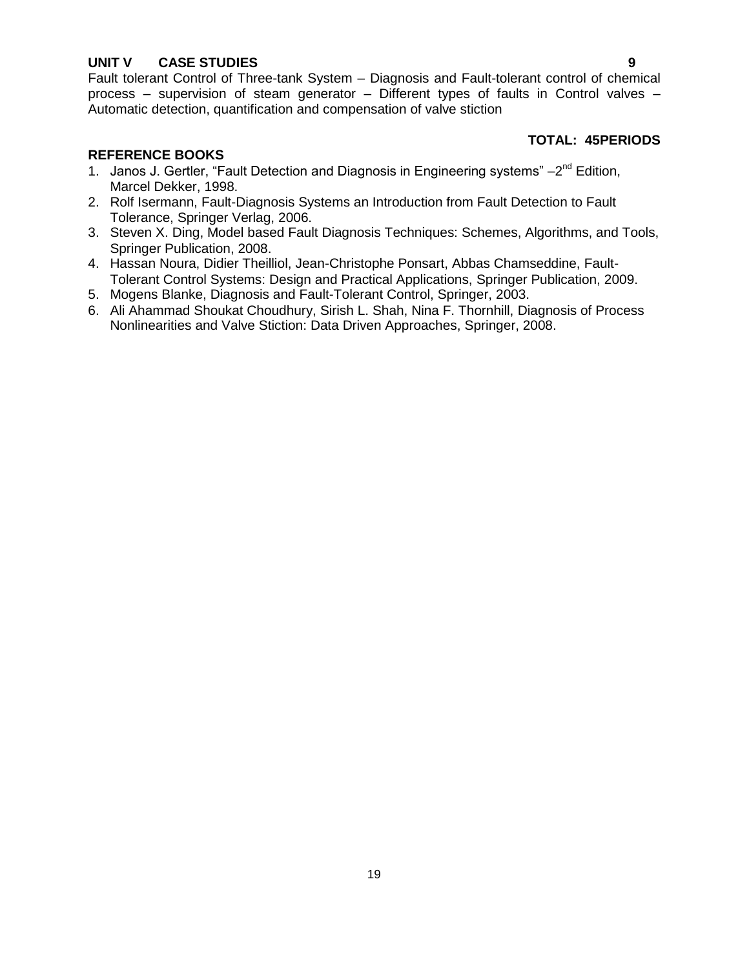# **UNIT V CASE STUDIES 9**

Fault tolerant Control of Three-tank System – Diagnosis and Fault-tolerant control of chemical process – supervision of steam generator – Different types of faults in Control valves – Automatic detection, quantification and compensation of valve stiction

#### **TOTAL: 45PERIODS**

- 1. Janos J. Gertler, "Fault Detection and Diagnosis in Engineering systems" 2<sup>nd</sup> Edition, Marcel Dekker, 1998.
- 2. Rolf Isermann, Fault-Diagnosis Systems an Introduction from Fault Detection to Fault Tolerance, Springer Verlag, 2006.
- 3. Steven X. Ding, Model based Fault Diagnosis Techniques: Schemes, Algorithms, and Tools, Springer Publication, 2008.
- 4. Hassan Noura, Didier Theilliol, Jean-Christophe Ponsart, Abbas Chamseddine, Fault-Tolerant Control Systems: Design and Practical Applications, Springer Publication, 2009.
- 5. Mogens Blanke, Diagnosis and Fault-Tolerant Control, Springer, 2003.
- 6. Ali Ahammad Shoukat Choudhury, Sirish L. Shah, Nina F. Thornhill, Diagnosis of Process Nonlinearities and Valve Stiction: Data Driven Approaches, Springer, 2008.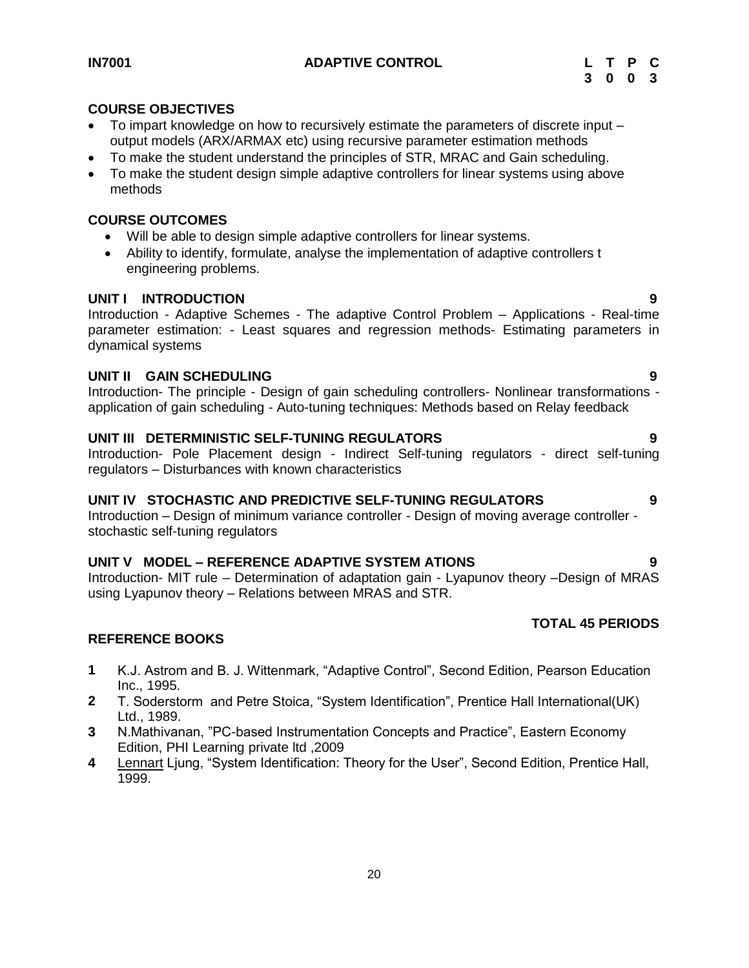#### <span id="page-19-0"></span>**IN7001 ADAPTIVE CONTROL L T P C**

# **COURSE OBJECTIVES**

- To impart knowledge on how to recursively estimate the parameters of discrete input output models (ARX/ARMAX etc) using recursive parameter estimation methods
- To make the student understand the principles of STR, MRAC and Gain scheduling.
- To make the student design simple adaptive controllers for linear systems using above methods

# **COURSE OUTCOMES**

- Will be able to design simple adaptive controllers for linear systems.
- Ability to identify, formulate, analyse the implementation of adaptive controllers t engineering problems.

# **UNIT I INTRODUCTION 9**

Introduction - Adaptive Schemes - The adaptive Control Problem – Applications - Real-time parameter estimation: - Least squares and regression methods- Estimating parameters in dynamical systems

# **UNIT II GAIN SCHEDULING 9**

Introduction- The principle - Design of gain scheduling controllers- Nonlinear transformations application of gain scheduling - Auto-tuning techniques: Methods based on Relay feedback

# **UNIT III DETERMINISTIC SELF-TUNING REGULATORS 9**

Introduction- Pole Placement design - Indirect Self-tuning regulators - direct self-tuning regulators – Disturbances with known characteristics

#### **UNIT IV STOCHASTIC AND PREDICTIVE SELF-TUNING REGULATORS 9**

Introduction – Design of minimum variance controller - Design of moving average controller stochastic self-tuning regulators

# **UNIT V MODEL – REFERENCE ADAPTIVE SYSTEM ATIONS 9**

Introduction- MIT rule – Determination of adaptation gain - Lyapunov theory –Design of MRAS using Lyapunov theory – Relations between MRAS and STR.

# **TOTAL 45 PERIODS**

- **1** K.J. Astrom and B. J. Wittenmark, "Adaptive Control", Second Edition, Pearson Education Inc., 1995.
- **2** T. Soderstorm and Petre Stoica, "System Identification", Prentice Hall International(UK) Ltd., 1989.
- **3** N.Mathivanan, "PC-based Instrumentation Concepts and Practice", Eastern Economy Edition, PHI Learning private ltd ,2009
- **4** [Lennart](http://www.amazon.com/Lennart-Ljung/e/B000APLEIM/ref=ntt_athr_dp_pel_1) Ljung, "System Identification: Theory for the User", Second Edition, Prentice Hall, 1999.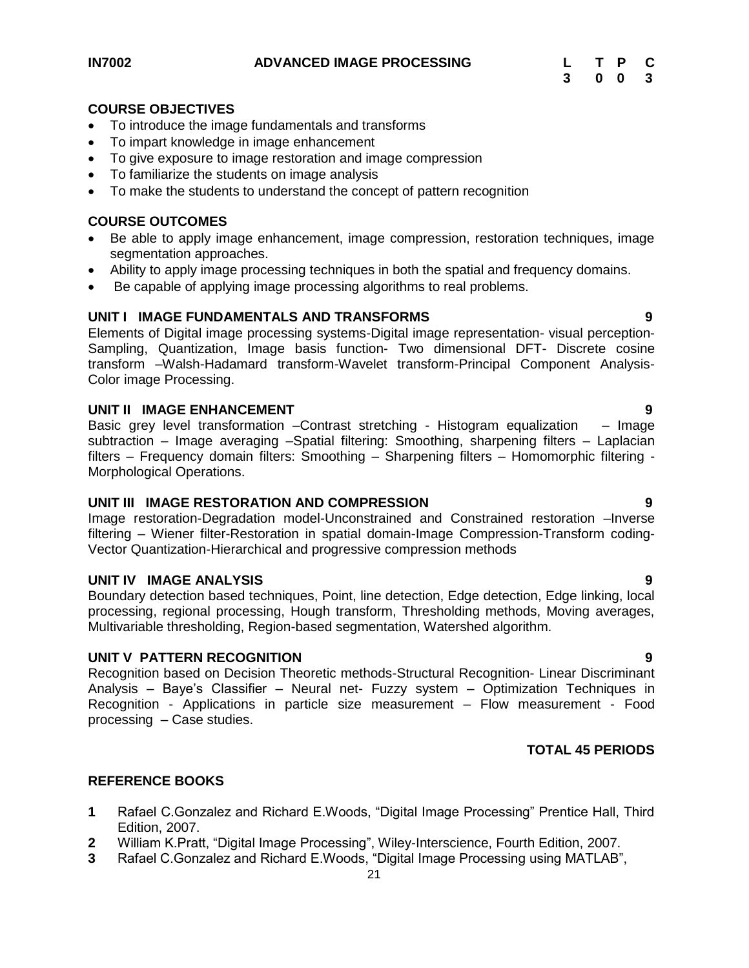#### <span id="page-20-0"></span>**COURSE OBJECTIVES**

- To introduce the image fundamentals and transforms
- To impart knowledge in image enhancement
- To give exposure to image restoration and image compression
- To familiarize the students on image analysis
- To make the students to understand the concept of pattern recognition

## **COURSE OUTCOMES**

- Be able to apply image enhancement, image compression, restoration techniques, image segmentation approaches.
- Ability to apply image processing techniques in both the spatial and frequency domains.
- Be capable of applying image processing algorithms to real problems.

#### **UNIT I IMAGE FUNDAMENTALS AND TRANSFORMS 9**

Elements of Digital image processing systems-Digital image representation- visual perception-Sampling, Quantization, Image basis function- Two dimensional DFT- Discrete cosine transform –Walsh-Hadamard transform-Wavelet transform-Principal Component Analysis-Color image Processing.

#### **UNIT II IMAGE ENHANCEMENT 9**

Basic grey level transformation - Contrast stretching - Histogram equalization - Image subtraction – Image averaging –Spatial filtering: Smoothing, sharpening filters – Laplacian filters – Frequency domain filters: Smoothing – Sharpening filters – Homomorphic filtering - Morphological Operations.

#### **UNIT III IMAGE RESTORATION AND COMPRESSION 9**

Image restoration-Degradation model-Unconstrained and Constrained restoration –Inverse filtering – Wiener filter-Restoration in spatial domain-Image Compression-Transform coding-Vector Quantization-Hierarchical and progressive compression methods

### **UNIT IV IMAGE ANALYSIS 9**

Boundary detection based techniques, Point, line detection, Edge detection, Edge linking, local processing, regional processing, Hough transform, Thresholding methods, Moving averages, Multivariable thresholding, Region-based segmentation, Watershed algorithm.

#### **UNIT V PATTERN RECOGNITION 9**

Recognition based on Decision Theoretic methods-Structural Recognition- Linear Discriminant Analysis – Baye's Classifier – Neural net- Fuzzy system – Optimization Techniques in Recognition - Applications in particle size measurement – Flow measurement - Food processing – Case studies.

#### **TOTAL 45 PERIODS**

- **1** Rafael C.Gonzalez and Richard E.Woods, "Digital Image Processing" Prentice Hall, Third Edition, 2007.
- **2** William K.Pratt, "Digital Image Processing", Wiley-Interscience, Fourth Edition, 2007.
- **3** Rafael C.Gonzalez and Richard E.Woods, "Digital Image Processing using MATLAB",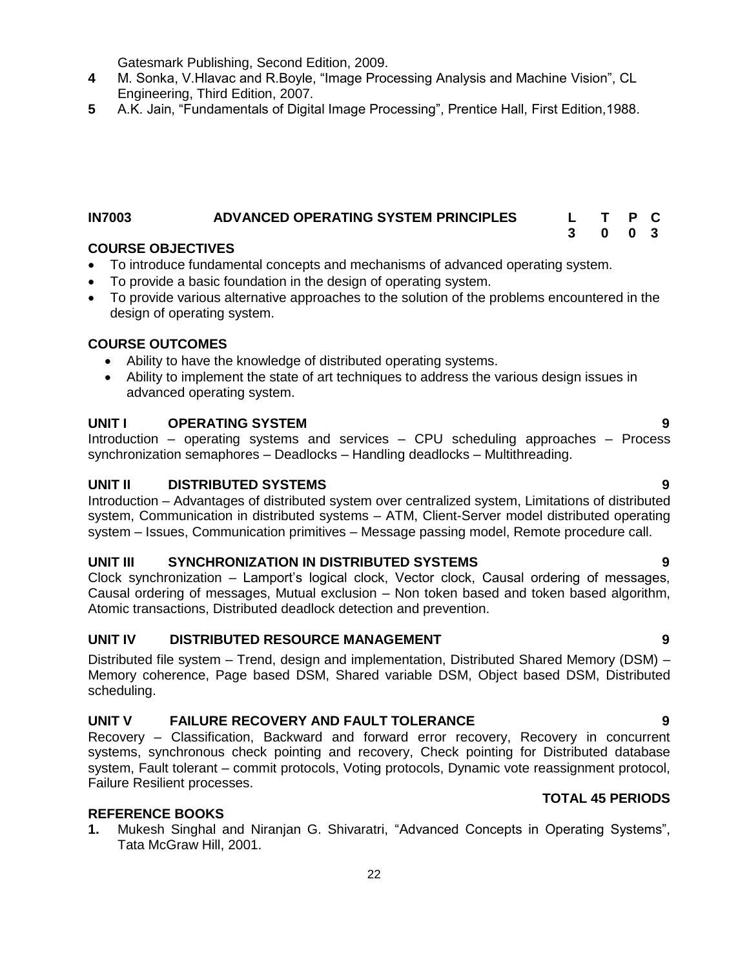Gatesmark Publishing, Second Edition, 2009.

- **4** M. Sonka, V.Hlavac and R.Boyle, "Image Processing Analysis and Machine Vision", CL Engineering, Third Edition, 2007.
- **5** A.K. Jain, "Fundamentals of Digital Image Processing", Prentice Hall, First Edition,1988.

#### <span id="page-21-0"></span>**IN7003 ADVANCED OPERATING SYSTEM PRINCIPLES L T P C 3 0 0 3**

# **COURSE OBJECTIVES**

- To introduce fundamental concepts and mechanisms of advanced operating system.
- To provide a basic foundation in the design of operating system.
- To provide various alternative approaches to the solution of the problems encountered in the design of operating system.

### **COURSE OUTCOMES**

- Ability to have the knowledge of distributed operating systems.
- Ability to implement the state of art techniques to address the various design issues in advanced operating system.

### **UNIT I OPERATING SYSTEM 9**

Introduction – operating systems and services – CPU scheduling approaches – Process synchronization semaphores – Deadlocks – Handling deadlocks – Multithreading.

# **UNIT II DISTRIBUTED SYSTEMS 9**

Introduction – Advantages of distributed system over centralized system, Limitations of distributed system, Communication in distributed systems – ATM, Client-Server model distributed operating system – Issues, Communication primitives – Message passing model, Remote procedure call.

#### **UNIT III SYNCHRONIZATION IN DISTRIBUTED SYSTEMS 9**

Clock synchronization – Lamport's logical clock, Vector clock, Causal ordering of messages, Causal ordering of messages, Mutual exclusion – Non token based and token based algorithm, Atomic transactions, Distributed deadlock detection and prevention.

#### **UNIT IV DISTRIBUTED RESOURCE MANAGEMENT 9**

Distributed file system – Trend, design and implementation, Distributed Shared Memory (DSM) – Memory coherence, Page based DSM, Shared variable DSM, Object based DSM, Distributed scheduling.

# **UNIT V FAILURE RECOVERY AND FAULT TOLERANCE 9**

Recovery – Classification, Backward and forward error recovery, Recovery in concurrent systems, synchronous check pointing and recovery, Check pointing for Distributed database system, Fault tolerant – commit protocols, Voting protocols, Dynamic vote reassignment protocol, Failure Resilient processes.

# **REFERENCE BOOKS**

**1.** Mukesh Singhal and Niranjan G. Shivaratri, "Advanced Concepts in Operating Systems", Tata McGraw Hill, 2001.

# **TOTAL 45 PERIODS**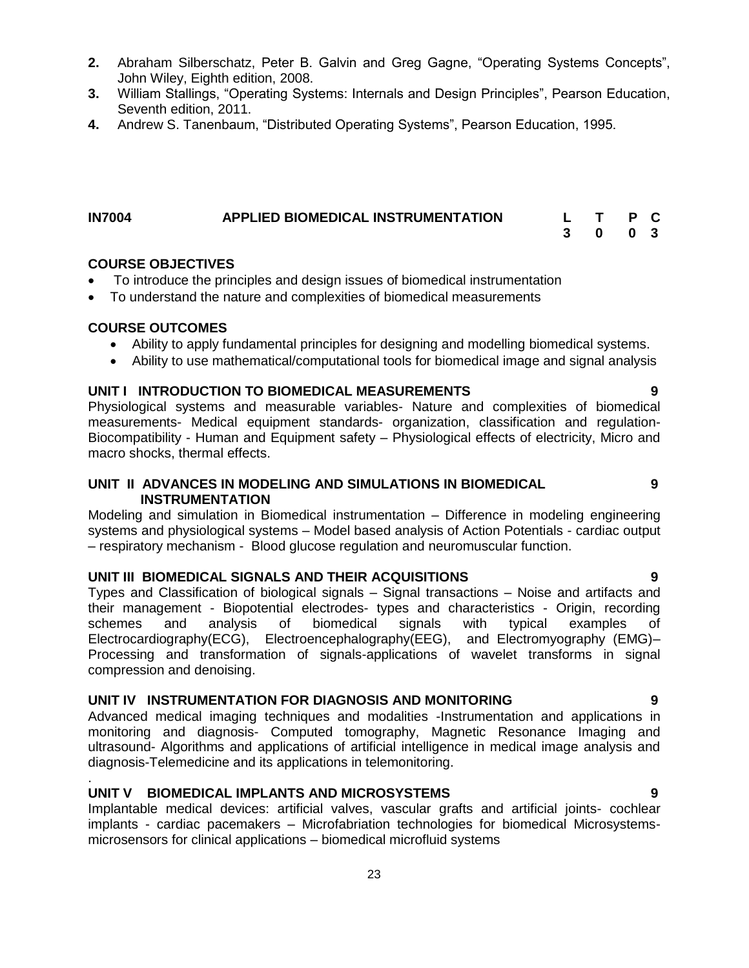- **2.** Abraham Silberschatz, Peter B. Galvin and Greg Gagne, "Operating Systems Concepts", John Wiley, Eighth edition, 2008.
- **3.** William Stallings, "Operating Systems: Internals and Design Principles", Pearson Education, Seventh edition, 2011.
- **4.** Andrew S. Tanenbaum, "Distributed Operating Systems", Pearson Education, 1995.

#### <span id="page-22-0"></span>**IN7004 APPLIED BIOMEDICAL INSTRUMENTATION L T P C 3 0 0 3**

#### **COURSE OBJECTIVES**

- To introduce the principles and design issues of biomedical instrumentation
- To understand the nature and complexities of biomedical measurements

#### **COURSE OUTCOMES**

.

- Ability to apply fundamental principles for designing and modelling biomedical systems.
- Ability to use mathematical/computational tools for biomedical image and signal analysis

#### **UNIT I INTRODUCTION TO BIOMEDICAL MEASUREMENTS 9**

Physiological systems and measurable variables- Nature and complexities of biomedical measurements- Medical equipment standards- organization, classification and regulation-Biocompatibility - Human and Equipment safety – Physiological effects of electricity, Micro and macro shocks, thermal effects.

### **UNIT II ADVANCES IN MODELING AND SIMULATIONS IN BIOMEDICAL INSTRUMENTATION**

Modeling and simulation in Biomedical instrumentation – Difference in modeling engineering systems and physiological systems – Model based analysis of Action Potentials - cardiac output – respiratory mechanism - Blood glucose regulation and neuromuscular function.

#### **UNIT III BIOMEDICAL SIGNALS AND THEIR ACQUISITIONS 9**

Types and Classification of biological signals – Signal transactions – Noise and artifacts and their management - Biopotential electrodes- types and characteristics - Origin, recording schemes and analysis of biomedical signals with typical examples of Electrocardiography(ECG), Electroencephalography(EEG), and Electromyography (EMG)– Processing and transformation of signals-applications of wavelet transforms in signal compression and denoising.

### **UNIT IV INSTRUMENTATION FOR DIAGNOSIS AND MONITORING 9**

Advanced medical imaging techniques and modalities -Instrumentation and applications in monitoring and diagnosis- Computed tomography, Magnetic Resonance Imaging and ultrasound- Algorithms and applications of artificial intelligence in medical image analysis and diagnosis-Telemedicine and its applications in telemonitoring.

#### **UNIT V BIOMEDICAL IMPLANTS AND MICROSYSTEMS 9**

Implantable medical devices: artificial valves, vascular grafts and artificial joints- cochlear implants - cardiac pacemakers – Microfabriation technologies for biomedical Microsystemsmicrosensors for clinical applications – biomedical microfluid systems

**9**

- 
-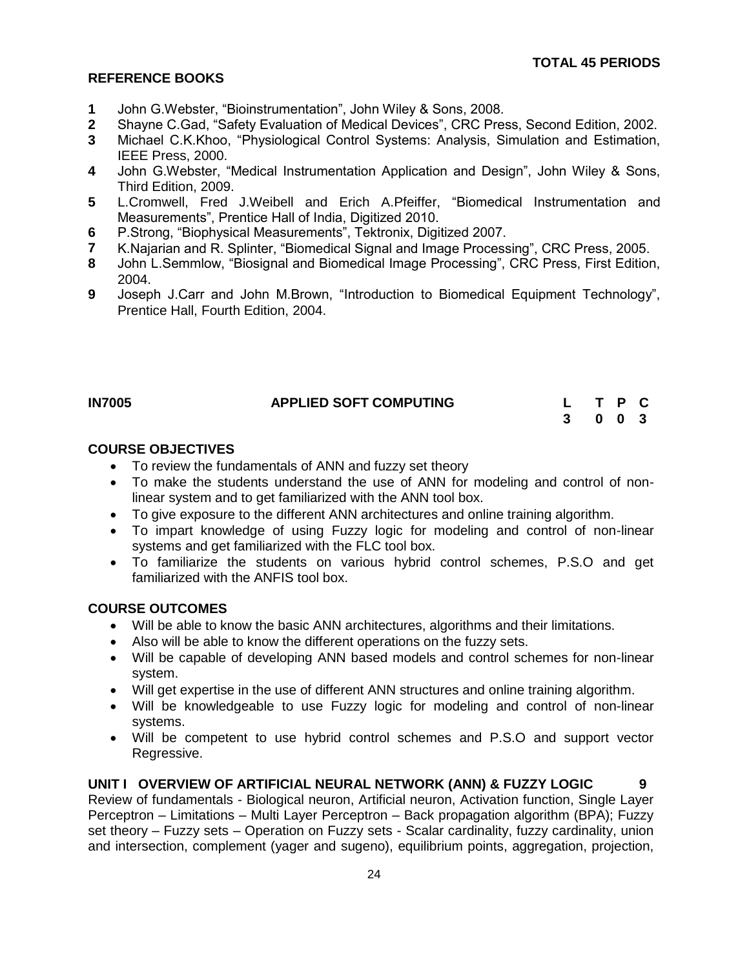#### **REFERENCE BOOKS**

- **1** John G.Webster, "Bioinstrumentation", John Wiley & Sons, 2008.
- **2** Shayne C.Gad, "Safety Evaluation of Medical Devices", CRC Press, Second Edition, 2002.
- **3** Michael C.K.Khoo, "Physiological Control Systems: Analysis, Simulation and Estimation, IEEE Press, 2000.
- **4** John G.Webster, "Medical Instrumentation Application and Design", John Wiley & Sons, Third Edition, 2009.
- **5** L.Cromwell, [Fred J.Weibell](http://www.google.co.in/search?tbo=p&tbm=bks&q=inauthor:%22Fred+J.+Weibell%22&source=gbs_metadata_r&cad=8) and [Erich A.Pfeiffer,](http://www.google.co.in/search?tbo=p&tbm=bks&q=inauthor:%22Erich+A.+Pfeiffer%22&source=gbs_metadata_r&cad=8) "Biomedical Instrumentation and Measurements", Prentice Hall of India, Digitized 2010.
- **6** P.Strong, "Biophysical Measurements", Tektronix, Digitized 2007.
- **7** K.Najarian and R. Splinter, "Biomedical Signal and Image Processing", CRC Press, 2005.
- **8** John L.Semmlow, "Biosignal and Biomedical Image Processing", CRC Press, First Edition, 2004.
- **9** Joseph J.Carr and John M.Brown, "Introduction to Biomedical Equipment Technology", Prentice Hall, Fourth Edition, 2004.

# <span id="page-23-0"></span>**IN7005 APPLIED SOFT COMPUTING L T P C**

**3 0 0 3**

# **COURSE OBJECTIVES**

- To review the fundamentals of ANN and fuzzy set theory
- To make the students understand the use of ANN for modeling and control of nonlinear system and to get familiarized with the ANN tool box.
- To give exposure to the different ANN architectures and online training algorithm.
- To impart knowledge of using Fuzzy logic for modeling and control of non-linear systems and get familiarized with the FLC tool box.
- To familiarize the students on various hybrid control schemes, P.S.O and get familiarized with the ANFIS tool box.

#### **COURSE OUTCOMES**

- Will be able to know the basic ANN architectures, algorithms and their limitations.
- Also will be able to know the different operations on the fuzzy sets.
- Will be capable of developing ANN based models and control schemes for non-linear system.
- Will get expertise in the use of different ANN structures and online training algorithm.
- Will be knowledgeable to use Fuzzy logic for modeling and control of non-linear systems.
- Will be competent to use hybrid control schemes and P.S.O and support vector Regressive.

#### **UNIT I OVERVIEW OF ARTIFICIAL NEURAL NETWORK (ANN) & FUZZY LOGIC 9**

Review of fundamentals - Biological neuron, Artificial neuron, Activation function, Single Layer Perceptron – Limitations – Multi Layer Perceptron – Back propagation algorithm (BPA); Fuzzy set theory – Fuzzy sets – Operation on Fuzzy sets - Scalar cardinality, fuzzy cardinality, union and intersection, complement (yager and sugeno), equilibrium points, aggregation, projection,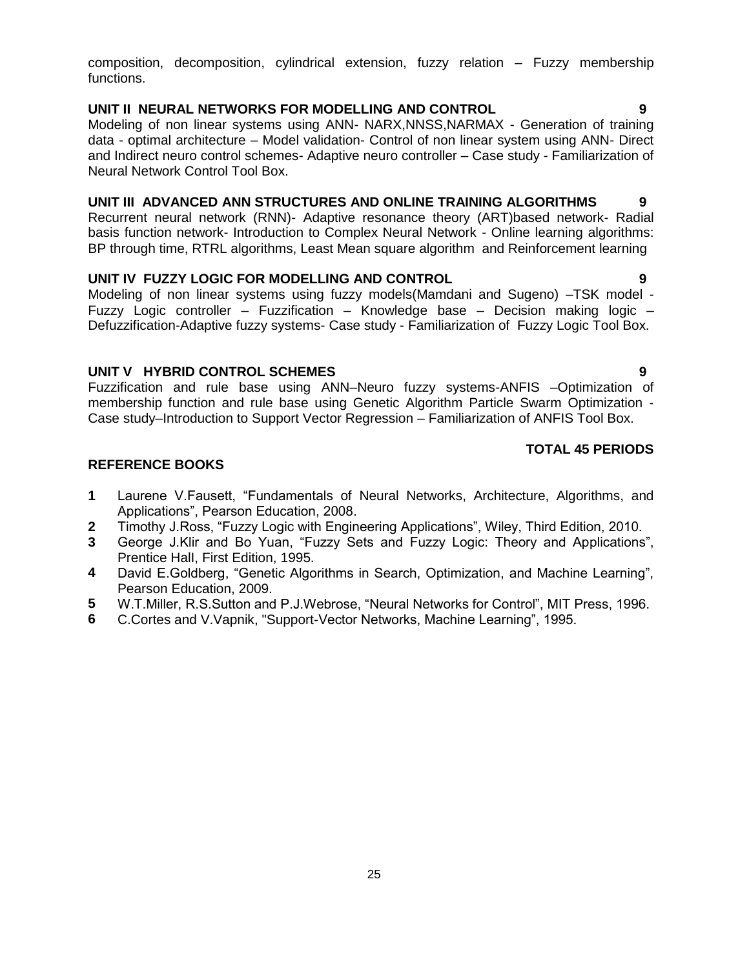composition, decomposition, cylindrical extension, fuzzy relation – Fuzzy membership functions.

# **UNIT II NEURAL NETWORKS FOR MODELLING AND CONTROL 9**

Modeling of non linear systems using ANN- NARX,NNSS,NARMAX - Generation of training data - optimal architecture – Model validation- Control of non linear system using ANN- Direct and Indirect neuro control schemes- Adaptive neuro controller – Case study - Familiarization of Neural Network Control Tool Box.

# **UNIT III ADVANCED ANN STRUCTURES AND ONLINE TRAINING ALGORITHMS 9**

Recurrent neural network (RNN)- Adaptive resonance theory (ART)based network- Radial basis function network- Introduction to Complex Neural Network - Online learning algorithms: BP through time, RTRL algorithms, Least Mean square algorithm and Reinforcement learning

### **UNIT IV FUZZY LOGIC FOR MODELLING AND CONTROL 9**

Modeling of non linear systems using fuzzy models(Mamdani and Sugeno) –TSK model - Fuzzy Logic controller – Fuzzification – Knowledge base – Decision making logic – Defuzzification-Adaptive fuzzy systems- Case study - Familiarization of Fuzzy Logic Tool Box.

### **UNIT V HYBRID CONTROL SCHEMES 9**

Fuzzification and rule base using ANN–Neuro fuzzy systems-ANFIS –Optimization of membership function and rule base using Genetic Algorithm Particle Swarm Optimization - Case study–Introduction to Support Vector Regression – Familiarization of ANFIS Tool Box.

### **TOTAL 45 PERIODS**

- **1** Laurene V.Fausett, "Fundamentals of Neural Networks, Architecture, Algorithms, and Applications", Pearson Education, 2008.
- **2** Timothy J.Ross, "Fuzzy Logic with Engineering Applications", Wiley, Third Edition, 2010.
- **3** George J.Klir and Bo Yuan, "Fuzzy Sets and Fuzzy Logic: Theory and Applications", Prentice HalI, First Edition, 1995.
- **4** David E.Goldberg, "Genetic Algorithms in Search, Optimization, and Machine Learning", Pearson Education, 2009.
- **5** W.T.Miller, R.S.Sutton and P.J.Webrose, "Neural Networks for Control", MIT Press, 1996.
- **6** C.Cortes and V.Vapnik, "Support-Vector Networks, Machine Learning", 1995.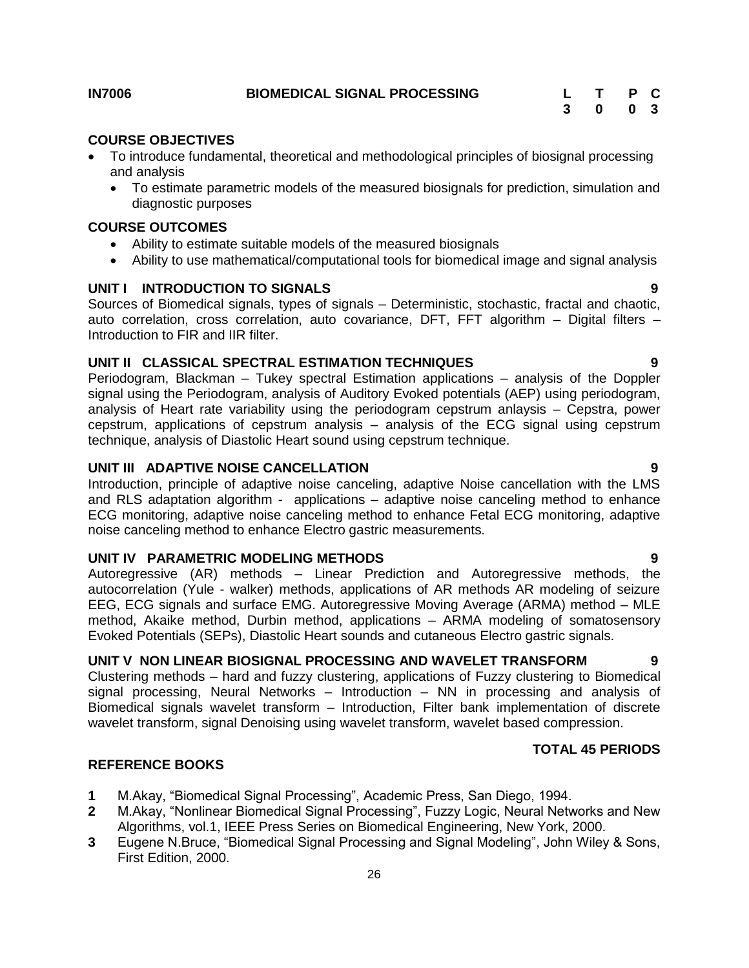<span id="page-25-0"></span>

#### **COURSE OBJECTIVES**

- To introduce fundamental, theoretical and methodological principles of biosignal processing and analysis
	- To estimate parametric models of the measured biosignals for prediction, simulation and diagnostic purposes

#### **COURSE OUTCOMES**

- Ability to estimate suitable models of the measured biosignals
- Ability to use mathematical/computational tools for biomedical image and signal analysis

# **UNIT I INTRODUCTION TO SIGNALS 9**

Sources of Biomedical signals, types of signals – Deterministic, stochastic, fractal and chaotic, auto correlation, cross correlation, auto covariance, DFT, FFT algorithm – Digital filters – Introduction to FIR and IIR filter.

### **UNIT II CLASSICAL SPECTRAL ESTIMATION TECHNIQUES 9**

Periodogram, Blackman – Tukey spectral Estimation applications – analysis of the Doppler signal using the Periodogram, analysis of Auditory Evoked potentials (AEP) using periodogram, analysis of Heart rate variability using the periodogram cepstrum anlaysis – Cepstra, power cepstrum, applications of cepstrum analysis – analysis of the ECG signal using cepstrum technique, analysis of Diastolic Heart sound using cepstrum technique.

#### **UNIT III ADAPTIVE NOISE CANCELLATION 9**

Introduction, principle of adaptive noise canceling, adaptive Noise cancellation with the LMS and RLS adaptation algorithm - applications – adaptive noise canceling method to enhance ECG monitoring, adaptive noise canceling method to enhance Fetal ECG monitoring, adaptive noise canceling method to enhance Electro gastric measurements.

#### **UNIT IV PARAMETRIC MODELING METHODS 9**

Autoregressive (AR) methods – Linear Prediction and Autoregressive methods, the autocorrelation (Yule - walker) methods, applications of AR methods AR modeling of seizure EEG, ECG signals and surface EMG. Autoregressive Moving Average (ARMA) method – MLE method, Akaike method, Durbin method, applications – ARMA modeling of somatosensory Evoked Potentials (SEPs), Diastolic Heart sounds and cutaneous Electro gastric signals.

# **UNIT V NON LINEAR BIOSIGNAL PROCESSING AND WAVELET TRANSFORM 9**

Clustering methods – hard and fuzzy clustering, applications of Fuzzy clustering to Biomedical signal processing, Neural Networks – Introduction – NN in processing and analysis of Biomedical signals wavelet transform – Introduction, Filter bank implementation of discrete wavelet transform, signal Denoising using wavelet transform, wavelet based compression.

#### **TOTAL 45 PERIODS**

- **1** M.Akay, "Biomedical Signal Processing", Academic Press, San Diego, 1994.
- **2** M.Akay, "Nonlinear Biomedical Signal Processing", Fuzzy Logic, Neural Networks and New Algorithms, vol.1, IEEE Press Series on Biomedical Engineering, New York, 2000.
- **3** Eugene N.Bruce, "Biomedical Signal Processing and Signal Modeling", John Wiley & Sons, First Edition, 2000.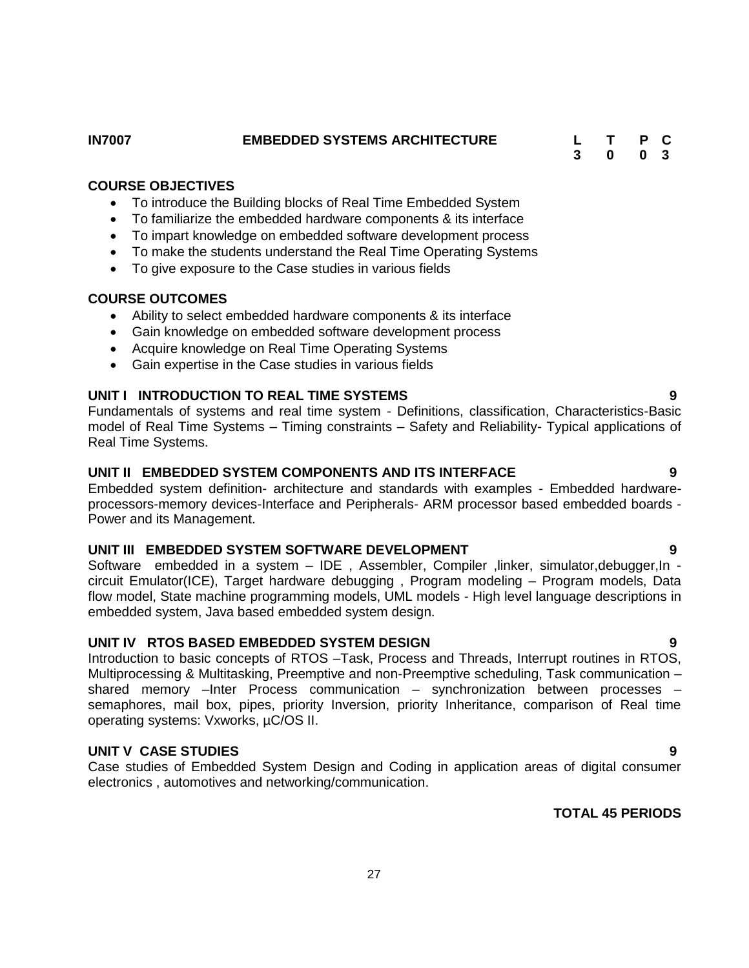- Ability to select embedded hardware components & its interface
- Gain knowledge on embedded software development process
- 
- Gain expertise in the Case studies in various fields

### **UNIT I INTRODUCTION TO REAL TIME SYSTEMS 9**

Fundamentals of systems and real time system - Definitions, classification, Characteristics-Basic model of Real Time Systems – Timing constraints – Safety and Reliability- Typical applications of Real Time Systems.

# **UNIT II EMBEDDED SYSTEM COMPONENTS AND ITS INTERFACE 9**

Embedded system definition- architecture and standards with examples - Embedded hardwareprocessors-memory devices-Interface and Peripherals- ARM processor based embedded boards - Power and its Management.

#### **UNIT III EMBEDDED SYSTEM SOFTWARE DEVELOPMENT 9**

Software embedded in a system – IDE, Assembler, Compiler, linker, simulator,debugger, In circuit Emulator(ICE), Target hardware debugging , Program modeling – Program models, Data flow model, State machine programming models, UML models - High level language descriptions in embedded system, Java based embedded system design.

#### **UNIT IV RTOS BASED EMBEDDED SYSTEM DESIGN 9**

Introduction to basic concepts of RTOS –Task, Process and Threads, Interrupt routines in RTOS, Multiprocessing & Multitasking, Preemptive and non-Preemptive scheduling, Task communication – shared memory –Inter Process communication – synchronization between processes – semaphores, mail box, pipes, priority Inversion, priority Inheritance, comparison of Real time operating systems: Vxworks, µC/OS II.

# **UNIT V CASE STUDIES** 9

Case studies of Embedded System Design and Coding in application areas of digital consumer electronics , automotives and networking/communication.

# **TOTAL 45 PERIODS**

- **COURSE OBJECTIVES**
	- To introduce the Building blocks of Real Time Embedded System
	- To familiarize the embedded hardware components & its interface
	- To impart knowledge on embedded software development process
	- To make the students understand the Real Time Operating Systems
	- To give exposure to the Case studies in various fields

# **COURSE OUTCOMES**

- 
- 
- Acquire knowledge on Real Time Operating Systems
- 

**IN7007 EMBEDDED SYSTEMS ARCHITECTURE L T P C 3 0 0 3**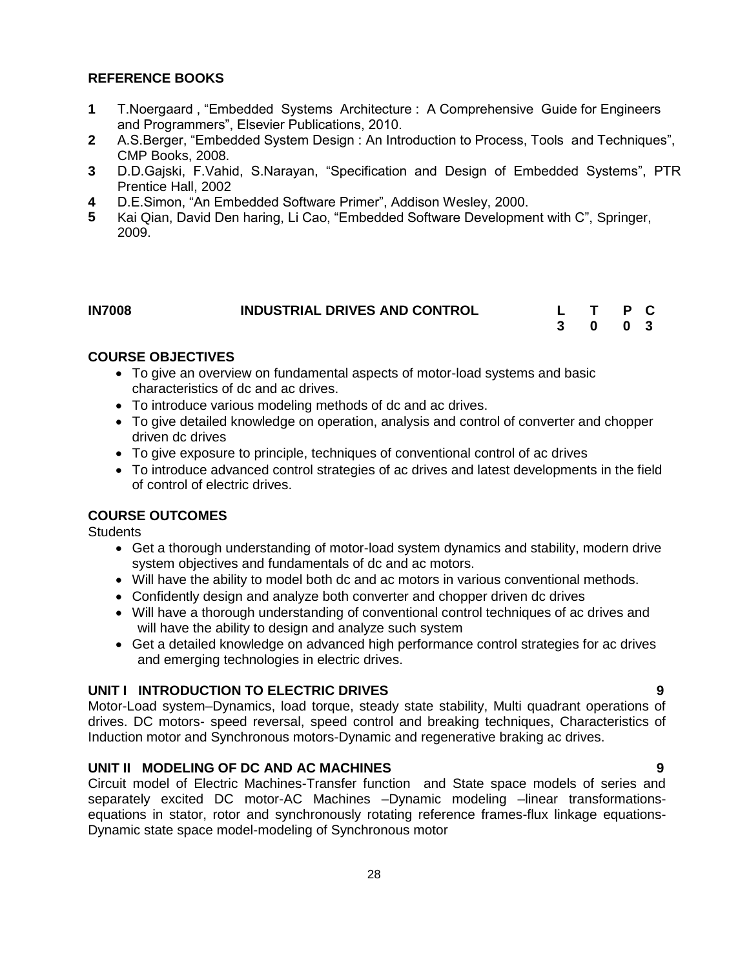# **REFERENCE BOOKS**

- **1** T.Noergaard , "Embedded Systems Architecture : A Comprehensive Guide for Engineers and Programmers", Elsevier Publications, 2010.
- **2** A.S.Berger, "Embedded System Design : An Introduction to Process, Tools and Techniques", CMP Books, 2008.
- **3** D.D.Gajski, F.Vahid, S.Narayan, "Specification and Design of Embedded Systems", PTR Prentice Hall, 2002
- **4** D.E.Simon, "An Embedded Software Primer", Addison Wesley, 2000.
- **5** Kai Qian, David Den haring, Li Cao, "Embedded Software Development with C", Springer, 2009.

<span id="page-27-0"></span>

| <b>IN7008</b> | <b>INDUSTRIAL DRIVES AND CONTROL</b> |         | L T P C |  |
|---------------|--------------------------------------|---------|---------|--|
|               |                                      | 3 0 0 3 |         |  |

## **COURSE OBJECTIVES**

- To give an overview on fundamental aspects of motor-load systems and basic characteristics of dc and ac drives.
- To introduce various modeling methods of dc and ac drives.
- To give detailed knowledge on operation, analysis and control of converter and chopper driven dc drives
- To give exposure to principle, techniques of conventional control of ac drives
- To introduce advanced control strategies of ac drives and latest developments in the field of control of electric drives.

### **COURSE OUTCOMES**

**Students** 

- Get a thorough understanding of motor-load system dynamics and stability, modern drive system objectives and fundamentals of dc and ac motors.
- Will have the ability to model both dc and ac motors in various conventional methods.
- Confidently design and analyze both converter and chopper driven dc drives
- Will have a thorough understanding of conventional control techniques of ac drives and will have the ability to design and analyze such system
- Get a detailed knowledge on advanced high performance control strategies for ac drives and emerging technologies in electric drives.

#### **UNIT I INTRODUCTION TO ELECTRIC DRIVES 9**

Motor-Load system–Dynamics, load torque, steady state stability, Multi quadrant operations of drives. DC motors- speed reversal, speed control and breaking techniques, Characteristics of Induction motor and Synchronous motors-Dynamic and regenerative braking ac drives.

#### **UNIT II MODELING OF DC AND AC MACHINES 9**

Circuit model of Electric Machines-Transfer function and State space models of series and separately excited DC motor-AC Machines –Dynamic modeling –linear transformationsequations in stator, rotor and synchronously rotating reference frames-flux linkage equations-Dynamic state space model-modeling of Synchronous motor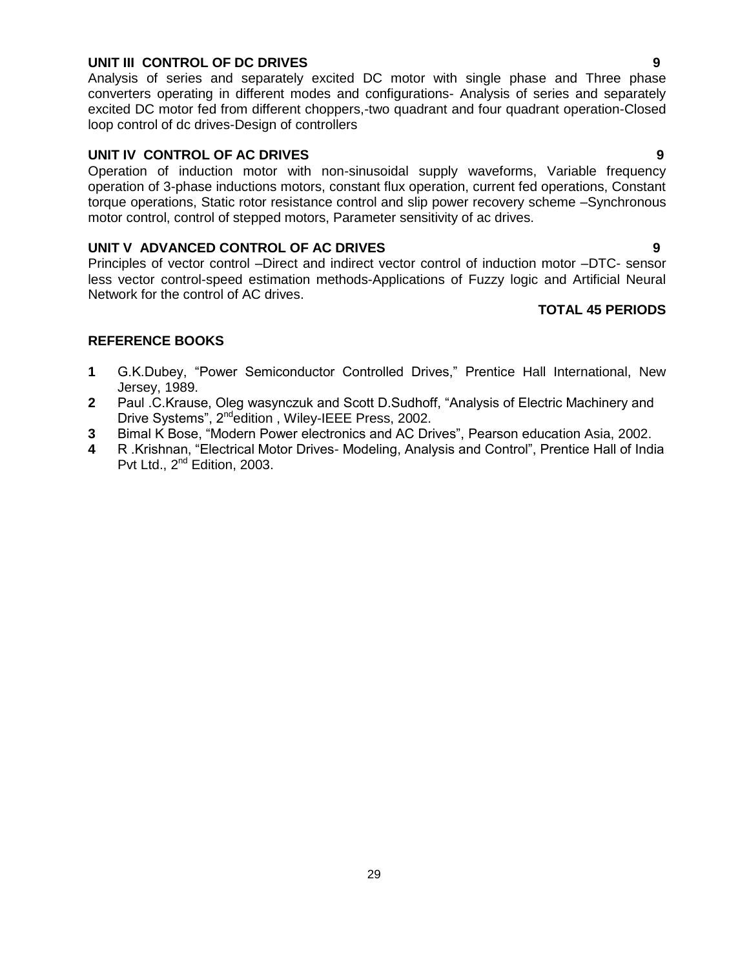#### **UNIT III CONTROL OF DC DRIVES 9**

Analysis of series and separately excited DC motor with single phase and Three phase converters operating in different modes and configurations- Analysis of series and separately excited DC motor fed from different choppers,-two quadrant and four quadrant operation-Closed loop control of dc drives-Design of controllers

### **UNIT IV CONTROL OF AC DRIVES 9**

Operation of induction motor with non-sinusoidal supply waveforms, Variable frequency operation of 3-phase inductions motors, constant flux operation, current fed operations, Constant torque operations, Static rotor resistance control and slip power recovery scheme –Synchronous motor control, control of stepped motors, Parameter sensitivity of ac drives.

#### **UNIT V ADVANCED CONTROL OF AC DRIVES 9**

Principles of vector control –Direct and indirect vector control of induction motor –DTC- sensor less vector control-speed estimation methods-Applications of Fuzzy logic and Artificial Neural Network for the control of AC drives.

### **TOTAL 45 PERIODS**

- **1** G.K.Dubey, "Power Semiconductor Controlled Drives," Prentice Hall International, New Jersey, 1989.
- **2** Paul .C.Krause, Oleg wasynczuk and Scott D.Sudhoff, "Analysis of Electric Machinery and Drive Systems", 2<sup>nd</sup>edition, Wiley-IEEE Press, 2002.
- **3** Bimal K Bose, "Modern Power electronics and AC Drives", Pearson education Asia, 2002.
- **4** R .Krishnan, "Electrical Motor Drives- Modeling, Analysis and Control", Prentice Hall of India Pvt Ltd., 2<sup>nd</sup> Edition, 2003.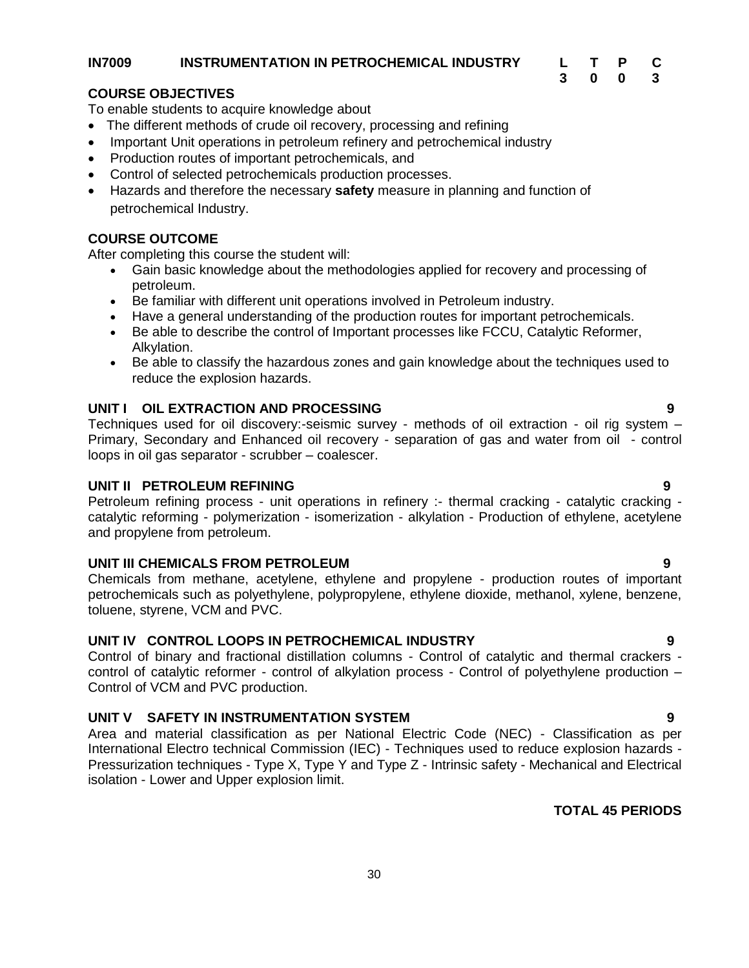#### <span id="page-29-0"></span>**IN7009 INSTRUMENTATION IN PETROCHEMICAL INDUSTRY L T P C**

**3 0 0 3**

#### **COURSE OBJECTIVES**

To enable students to acquire knowledge about

- The different methods of crude oil recovery, processing and refining
- Important Unit operations in petroleum refinery and petrochemical industry
- Production routes of important petrochemicals, and
- Control of selected petrochemicals production processes.
- Hazards and therefore the necessary **safety** measure in planning and function of petrochemical Industry.

# **COURSE OUTCOME**

After completing this course the student will:

- Gain basic knowledge about the methodologies applied for recovery and processing of petroleum.
- Be familiar with different unit operations involved in Petroleum industry.
- Have a general understanding of the production routes for important petrochemicals.
- Be able to describe the control of Important processes like FCCU, Catalytic Reformer, Alkylation.
- Be able to classify the hazardous zones and gain knowledge about the techniques used to reduce the explosion hazards.

# **UNIT I OIL EXTRACTION AND PROCESSING 9**

Techniques used for oil discovery:-seismic survey - methods of oil extraction - oil rig system – Primary, Secondary and Enhanced oil recovery - separation of gas and water from oil - control loops in oil gas separator - scrubber – coalescer.

### **UNIT II PETROLEUM REFINING 9**

Petroleum refining process - unit operations in refinery :- thermal cracking - catalytic cracking catalytic reforming - polymerization - isomerization - alkylation - Production of ethylene, acetylene and propylene from petroleum.

#### **UNIT III CHEMICALS FROM PETROLEUM 9**

Chemicals from methane, acetylene, ethylene and propylene - production routes of important petrochemicals such as polyethylene, polypropylene, ethylene dioxide, methanol, xylene, benzene, toluene, styrene, VCM and PVC.

# **UNIT IV CONTROL LOOPS IN PETROCHEMICAL INDUSTRY 9**

Control of binary and fractional distillation columns - Control of catalytic and thermal crackers control of catalytic reformer - control of alkylation process - Control of polyethylene production – Control of VCM and PVC production.

# **UNIT V SAFETY IN INSTRUMENTATION SYSTEM 9**

Area and material classification as per National Electric Code (NEC) - Classification as per International Electro technical Commission (IEC) - Techniques used to reduce explosion hazards - Pressurization techniques - Type X, Type Y and Type Z - Intrinsic safety - Mechanical and Electrical isolation - Lower and Upper explosion limit.

# **TOTAL 45 PERIODS**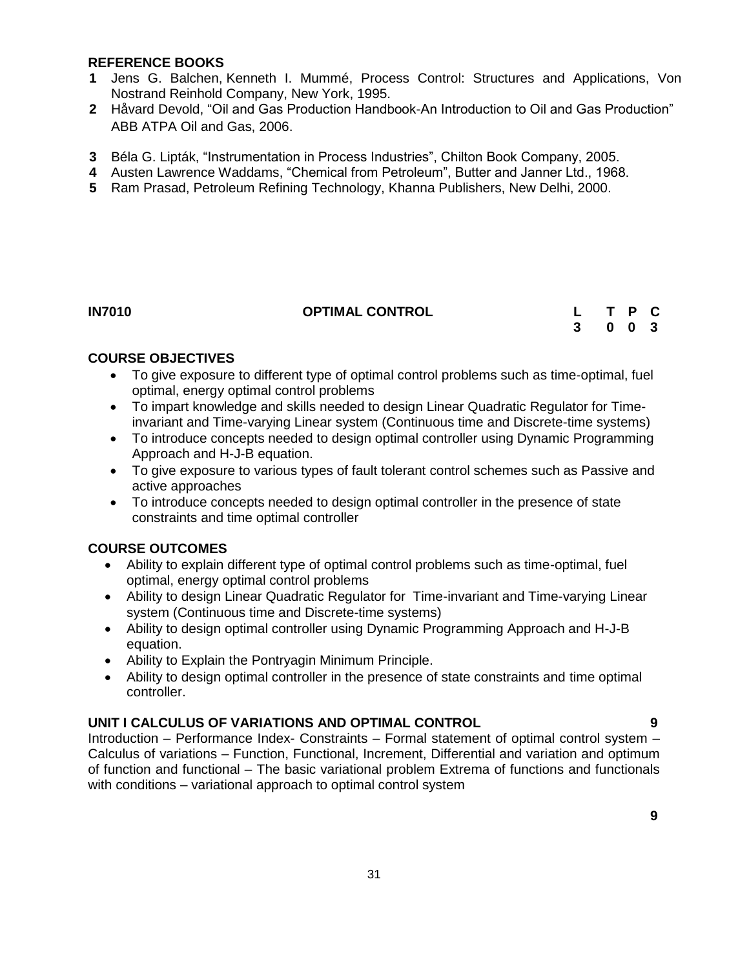#### **REFERENCE BOOKS**

- **1** [Jens G. Balchen,](http://www.google.co.in/search?tbo=p&tbm=bks&q=inauthor:%22Jens+G.+Balchen%22) [Kenneth I. Mummé,](http://www.google.co.in/search?tbo=p&tbm=bks&q=inauthor:%22Kenneth+I.+Mumm%C3%A9%22) Process Control: Structures and Applications, Von Nostrand Reinhold Company, New York, 1995.
- **2** Håvard Devold, "Oil and Gas Production Handbook-An Introduction to Oil and Gas Production" ABB ATPA Oil and Gas, 2006.
- **3** [Béla G. Lipták,](http://www.google.co.in/search?tbo=p&tbm=bks&q=inauthor:%22B%C3%A9la+G.+Lipt%C3%A1k%22) "Instrumentation in Process Industries", Chilton Book Company, 2005.
- **4** [Austen Lawrence Waddams,](http://www.google.co.in/search?tbo=p&tbm=bks&q=inauthor:%22Austen+Lawrence+Waddams%22) "Chemical from Petroleum", Butter and Janner Ltd., 1968.
- **5** Ram Prasad, Petroleum Refining Technology, Khanna Publishers, New Delhi, 2000.

### <span id="page-30-0"></span>**IN7010 OPTIMAL CONTROL L T P C**

**3 0 0 3**

# **COURSE OBJECTIVES**

- To give exposure to different type of optimal control problems such as time-optimal, fuel optimal, energy optimal control problems
- To impart knowledge and skills needed to design Linear Quadratic Regulator for Timeinvariant and Time-varying Linear system (Continuous time and Discrete-time systems)
- To introduce concepts needed to design optimal controller using Dynamic Programming Approach and H-J-B equation.
- To give exposure to various types of fault tolerant control schemes such as Passive and active approaches
- To introduce concepts needed to design optimal controller in the presence of state constraints and time optimal controller

# **COURSE OUTCOMES**

- Ability to explain different type of optimal control problems such as time-optimal, fuel optimal, energy optimal control problems
- Ability to design Linear Quadratic Regulator for Time-invariant and Time-varying Linear system (Continuous time and Discrete-time systems)
- Ability to design optimal controller using Dynamic Programming Approach and H-J-B equation.
- Ability to Explain the Pontryagin Minimum Principle.
- Ability to design optimal controller in the presence of state constraints and time optimal controller.

#### **UNIT I CALCULUS OF VARIATIONS AND OPTIMAL CONTROL 9**

Introduction – Performance Index- Constraints – Formal statement of optimal control system – Calculus of variations – Function, Functional, Increment, Differential and variation and optimum of function and functional – The basic variational problem Extrema of functions and functionals with conditions – variational approach to optimal control system

**9**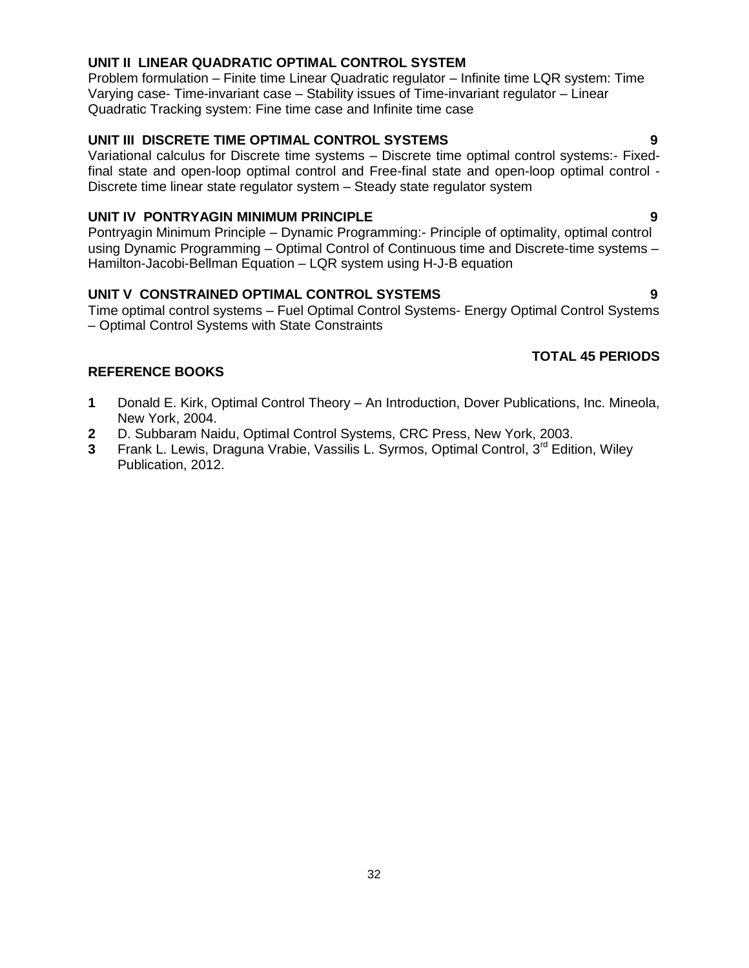### **UNIT II LINEAR QUADRATIC OPTIMAL CONTROL SYSTEM**

Problem formulation – Finite time Linear Quadratic regulator – Infinite time LQR system: Time Varying case- Time-invariant case – Stability issues of Time-invariant regulator – Linear Quadratic Tracking system: Fine time case and Infinite time case

### **UNIT III DISCRETE TIME OPTIMAL CONTROL SYSTEMS 9**

Variational calculus for Discrete time systems – Discrete time optimal control systems:- Fixedfinal state and open-loop optimal control and Free-final state and open-loop optimal control - Discrete time linear state regulator system – Steady state regulator system

#### **UNIT IV PONTRYAGIN MINIMUM PRINCIPLE 9**

Pontryagin Minimum Principle – Dynamic Programming:- Principle of optimality, optimal control using Dynamic Programming – Optimal Control of Continuous time and Discrete-time systems – Hamilton-Jacobi-Bellman Equation – LQR system using H-J-B equation

### **UNIT V CONSTRAINED OPTIMAL CONTROL SYSTEMS 9**

Time optimal control systems – Fuel Optimal Control Systems- Energy Optimal Control Systems – Optimal Control Systems with State Constraints

# **TOTAL 45 PERIODS**

- **1** Donald E. Kirk, Optimal Control Theory An Introduction, Dover Publications, Inc. Mineola, New York, 2004.
- **2** D. Subbaram Naidu, Optimal Control Systems, CRC Press, New York, 2003.
- **3** Frank L. Lewis, Draguna Vrabie, Vassilis L. Syrmos, Optimal Control, 3<sup>rd</sup> Edition, Wiley Publication, 2012.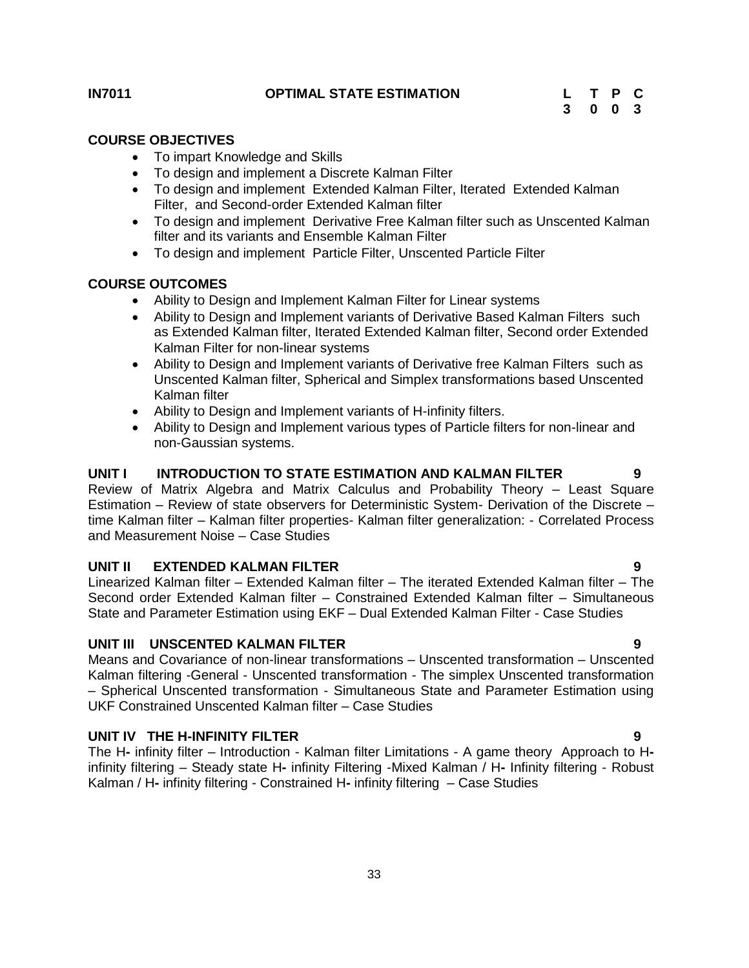#### **COURSE OBJECTIVES**

- <span id="page-32-0"></span>• To impart Knowledge and Skills
- To design and implement a Discrete Kalman Filter
- To design and implement Extended Kalman Filter, Iterated Extended Kalman Filter, and Second-order Extended Kalman filter
- To design and implement Derivative Free Kalman filter such as Unscented Kalman filter and its variants and Ensemble Kalman Filter
- To design and implement Particle Filter, Unscented Particle Filter

#### **COURSE OUTCOMES**

- Ability to Design and Implement Kalman Filter for Linear systems
- Ability to Design and Implement variants of Derivative Based Kalman Filters such as Extended Kalman filter, Iterated Extended Kalman filter, Second order Extended Kalman Filter for non-linear systems
- Ability to Design and Implement variants of Derivative free Kalman Filters such as Unscented Kalman filter, Spherical and Simplex transformations based Unscented Kalman filter
- Ability to Design and Implement variants of H-infinity filters.
- Ability to Design and Implement various types of Particle filters for non-linear and non-Gaussian systems.

# **UNIT I INTRODUCTION TO STATE ESTIMATION AND KALMAN FILTER 9**

Review of Matrix Algebra and Matrix Calculus and Probability Theory – Least Square Estimation – Review of state observers for Deterministic System- Derivation of the Discrete – time Kalman filter – Kalman filter properties- Kalman filter generalization: - Correlated Process and Measurement Noise – Case Studies

#### **UNIT II EXTENDED KALMAN FILTER 9**

Linearized Kalman filter – Extended Kalman filter – The iterated Extended Kalman filter – The Second order Extended Kalman filter – Constrained Extended Kalman filter – Simultaneous State and Parameter Estimation using EKF – Dual Extended Kalman Filter - Case Studies

#### **UNIT III UNSCENTED KALMAN FILTER 9**

Means and Covariance of non-linear transformations – Unscented transformation – Unscented Kalman filtering -General - Unscented transformation - The simplex Unscented transformation – Spherical Unscented transformation - Simultaneous State and Parameter Estimation using UKF Constrained Unscented Kalman filter – Case Studies

#### **UNIT IV THE H-INFINITY FILTER 9**

The H**-** infinity filter – Introduction - Kalman filter Limitations - A game theory Approach to Hinfinity filtering – Steady state H**-** infinity Filtering -Mixed Kalman / H**-** Infinity filtering - Robust Kalman / H**-** infinity filtering - Constrained H**-** infinity filtering – Case Studies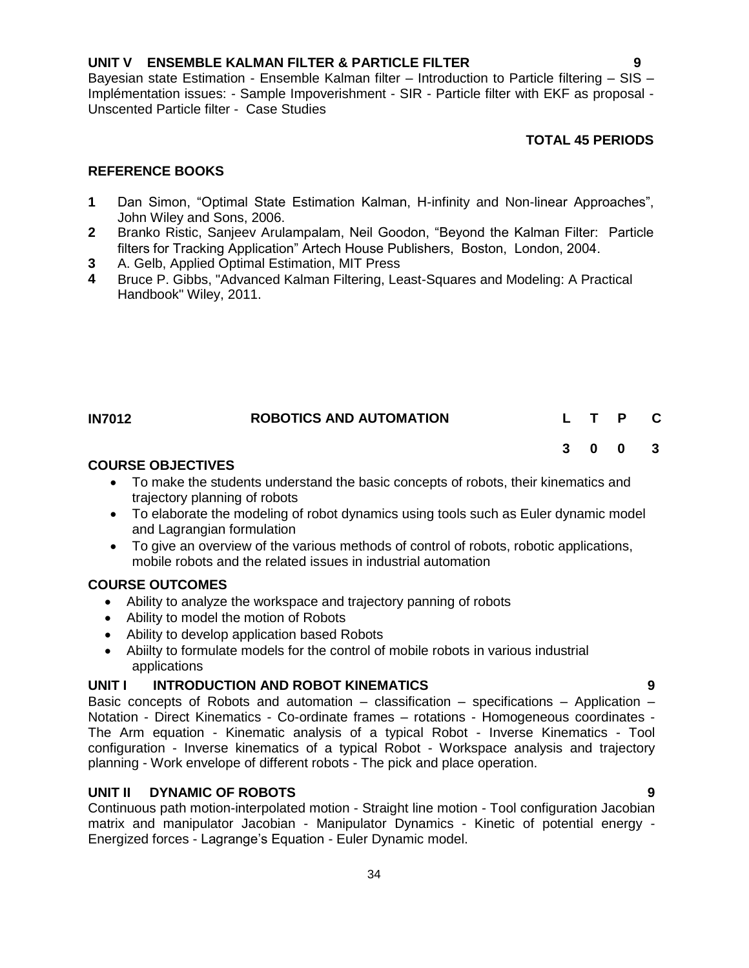# **UNIT V ENSEMBLE KALMAN FILTER & PARTICLE FILTER 9**

Bayesian state Estimation - Ensemble Kalman filter – Introduction to Particle filtering – SIS – Implémentation issues: - Sample Impoverishment - SIR - Particle filter with EKF as proposal - Unscented Particle filter - Case Studies

# **TOTAL 45 PERIODS**

**3 0 0 3**

### **REFERENCE BOOKS**

- **1** Dan Simon, "Optimal State Estimation Kalman, H-infinity and Non-linear Approaches", John Wiley and Sons, 2006.
- **2** Branko Ristic, Sanjeev Arulampalam, Neil Goodon, "Beyond the Kalman Filter: Particle filters for Tracking Application" Artech House Publishers, Boston, London, 2004.
- **3** A. Gelb, Applied Optimal Estimation, MIT Press
- **4** Bruce P. Gibbs, "Advanced Kalman Filtering, Least-Squares and Modeling: A Practical Handbook" Wiley, 2011.

<span id="page-33-0"></span>

| <b>IN7012</b> | <b>ROBOTICS AND AUTOMATION</b> |  |  |  |
|---------------|--------------------------------|--|--|--|
|               |                                |  |  |  |

### **COURSE OBJECTIVES**

- To make the students understand the basic concepts of robots, their kinematics and trajectory planning of robots
- To elaborate the modeling of robot dynamics using tools such as Euler dynamic model and Lagrangian formulation
- To give an overview of the various methods of control of robots, robotic applications, mobile robots and the related issues in industrial automation

# **COURSE OUTCOMES**

- Ability to analyze the workspace and trajectory panning of robots
- Ability to model the motion of Robots
- Ability to develop application based Robots
- Abiilty to formulate models for the control of mobile robots in various industrial applications

# **UNIT I INTRODUCTION AND ROBOT KINEMATICS 9**

Basic concepts of Robots and automation  $-$  classification  $-$  specifications  $-$  Application  $-$ Notation - Direct Kinematics - Co-ordinate frames – rotations - Homogeneous coordinates - The Arm equation - Kinematic analysis of a typical Robot - Inverse Kinematics - Tool configuration - Inverse kinematics of a typical Robot - Workspace analysis and trajectory planning - Work envelope of different robots - The pick and place operation.

# **UNIT II DYNAMIC OF ROBOTS 9**

Continuous path motion-interpolated motion - Straight line motion - Tool configuration Jacobian matrix and manipulator Jacobian - Manipulator Dynamics - Kinetic of potential energy - Energized forces - Lagrange's Equation - Euler Dynamic model.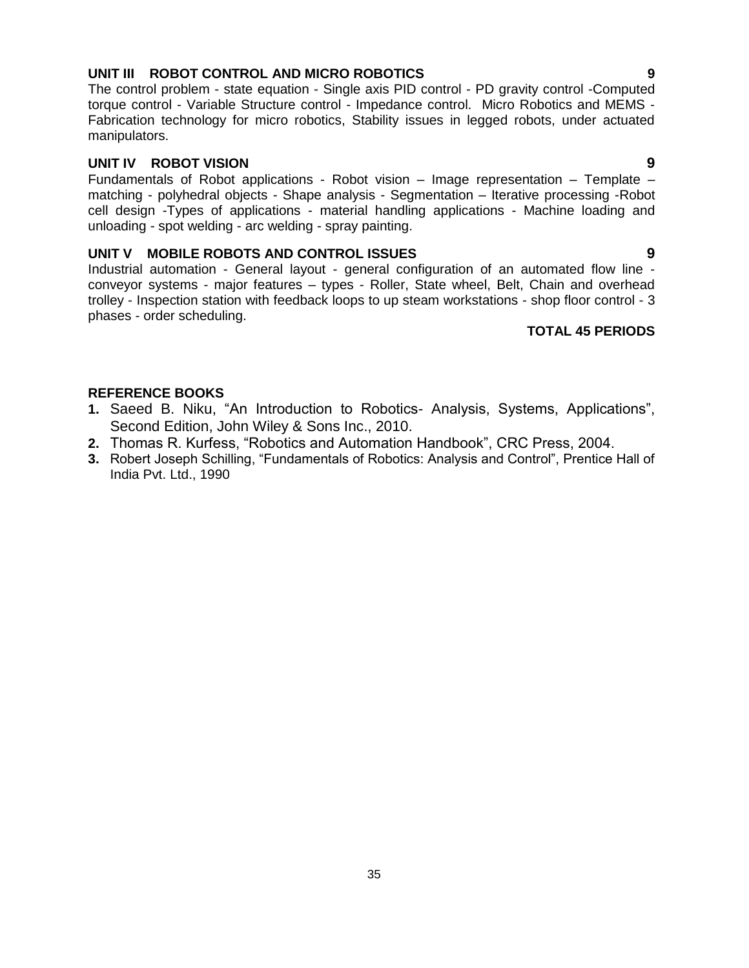# **UNIT III ROBOT CONTROL AND MICRO ROBOTICS 9**

The control problem - state equation - Single axis PID control - PD gravity control -Computed torque control - Variable Structure control - Impedance control. Micro Robotics and MEMS - Fabrication technology for micro robotics, Stability issues in legged robots, under actuated manipulators.

#### **UNIT IV ROBOT VISION 9**

Fundamentals of Robot applications - Robot vision – Image representation – Template – matching - polyhedral objects - Shape analysis - Segmentation – Iterative processing -Robot cell design -Types of applications - material handling applications - Machine loading and unloading - spot welding - arc welding - spray painting.

# **UNIT V MOBILE ROBOTS AND CONTROL ISSUES 9**

Industrial automation - General layout - general configuration of an automated flow line conveyor systems - major features – types - Roller, State wheel, Belt, Chain and overhead trolley - Inspection station with feedback loops to up steam workstations - shop floor control - 3 phases - order scheduling.

# **TOTAL 45 PERIODS**

- **1.** [Saeed B. Niku,](http://www.flipkart.com/author/saeed-b-niku) "An Introduction to Robotics- Analysis, Systems, Applications", Second Edition, John Wiley & Sons Inc., 2010.
- **2.** Thomas R. Kurfess, "Robotics and Automation Handbook", CRC Press, 2004.
- **3.** Robert Joseph Schilling, "Fundamentals of Robotics: Analysis and Control", Prentice Hall of India Pvt. Ltd., 1990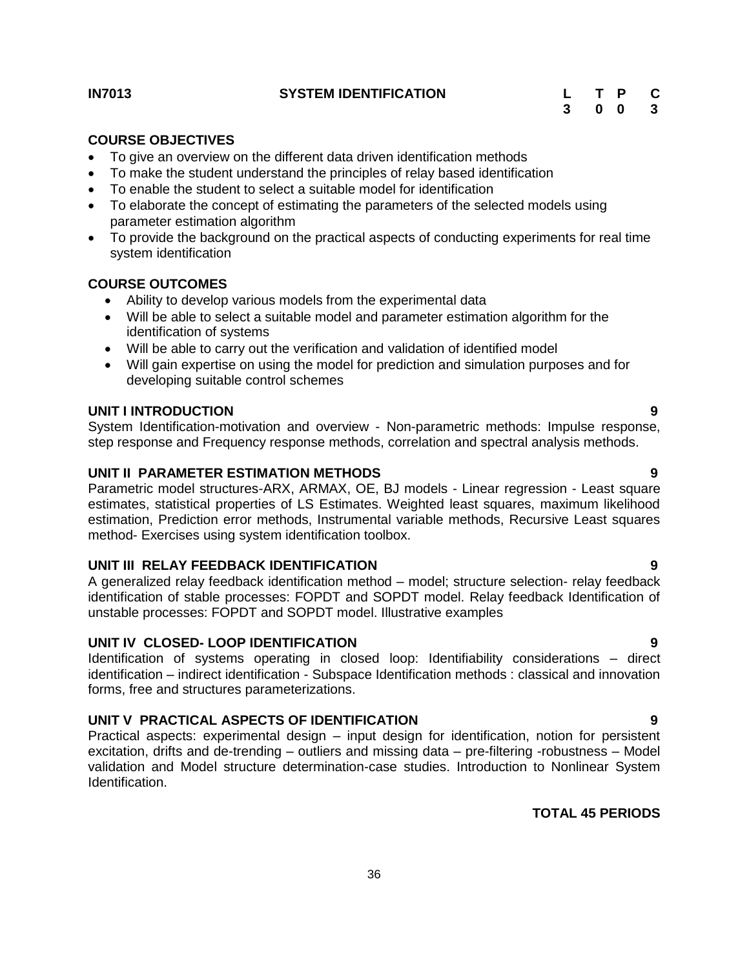#### <span id="page-35-0"></span>**IN7013 SYSTEM IDENTIFICATION**

| L | Т | P | C                       |
|---|---|---|-------------------------|
| 3 | 0 | 0 | $\overline{\mathbf{3}}$ |

#### **COURSE OBJECTIVES**

- To give an overview on the different data driven identification methods
- To make the student understand the principles of relay based identification
- To enable the student to select a suitable model for identification
- To elaborate the concept of estimating the parameters of the selected models using parameter estimation algorithm
- To provide the background on the practical aspects of conducting experiments for real time system identification

#### **COURSE OUTCOMES**

- Ability to develop various models from the experimental data
- Will be able to select a suitable model and parameter estimation algorithm for the identification of systems
- Will be able to carry out the verification and validation of identified model
- Will gain expertise on using the model for prediction and simulation purposes and for developing suitable control schemes

#### **UNIT I INTRODUCTION 9**

System Identification-motivation and overview - Non-parametric methods: Impulse response, step response and Frequency response methods, correlation and spectral analysis methods.

# **UNIT II PARAMETER ESTIMATION METHODS 9**

Parametric model structures-ARX, ARMAX, OE, BJ models - Linear regression - Least square estimates, statistical properties of LS Estimates. Weighted least squares, maximum likelihood estimation, Prediction error methods, Instrumental variable methods, Recursive Least squares method- Exercises using system identification toolbox.

#### **UNIT III RELAY FEEDBACK IDENTIFICATION 9**

A generalized relay feedback identification method – model; structure selection- relay feedback identification of stable processes: FOPDT and SOPDT model. Relay feedback Identification of unstable processes: FOPDT and SOPDT model. Illustrative examples

#### **UNIT IV CLOSED- LOOP IDENTIFICATION 9**

Identification of systems operating in closed loop: Identifiability considerations – direct identification – indirect identification - Subspace Identification methods : classical and innovation forms, free and structures parameterizations.

#### **UNIT V PRACTICAL ASPECTS OF IDENTIFICATION 9**

Practical aspects: experimental design – input design for identification, notion for persistent excitation, drifts and de-trending – outliers and missing data – pre-filtering -robustness – Model validation and Model structure determination-case studies. Introduction to Nonlinear System Identification.

# **TOTAL 45 PERIODS**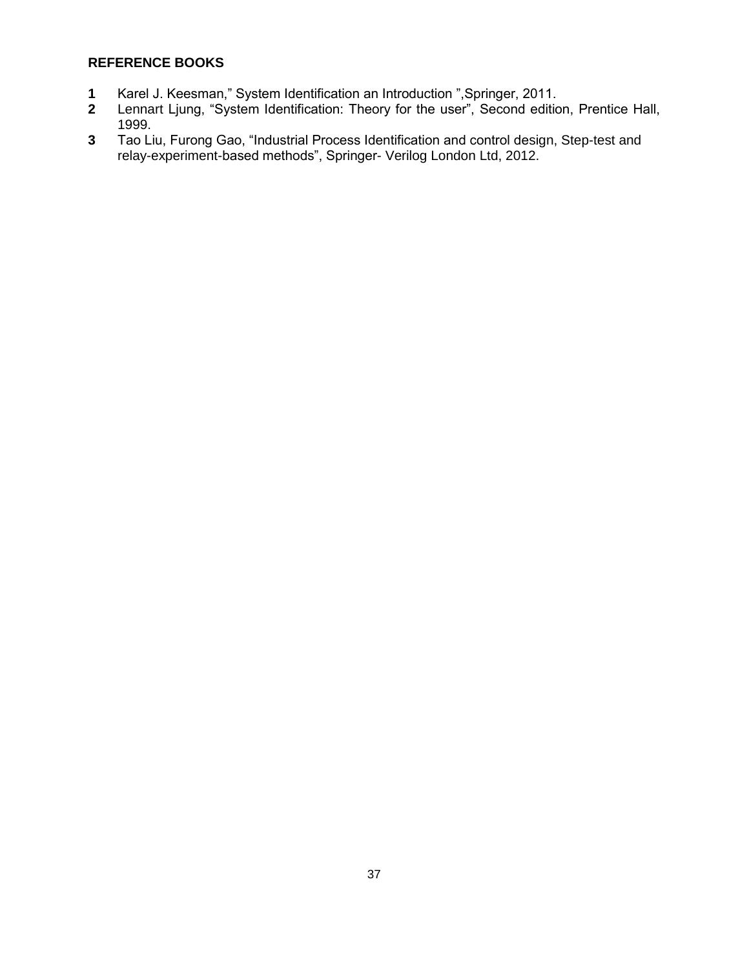- **1** Karel J. Keesman," System Identification an Introduction ",Springer, 2011.
- [Lennart](http://www.amazon.com/Lennart-Ljung/e/B000APLEIM/ref=ntt_athr_dp_pel_1) Ljung, "System Identification: Theory for the user", Second edition, Prentice Hall, 1999.
- **3** Tao Liu, Furong Gao, "Industrial Process Identification and control design, Step-test and relay-experiment-based methods", Springer- Verilog London Ltd, 2012.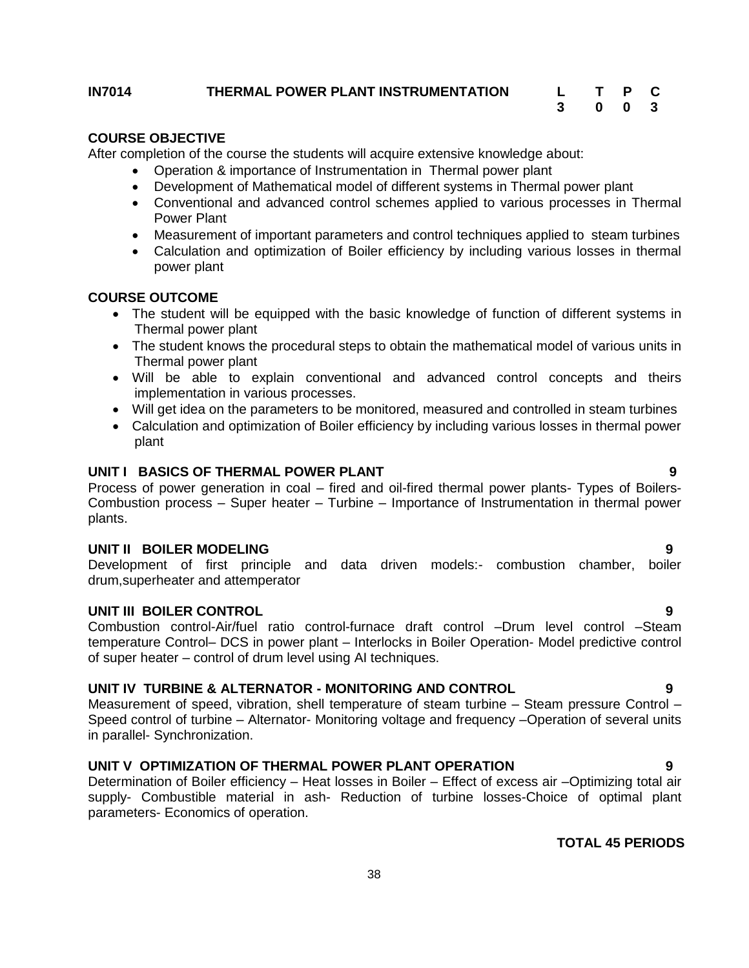#### <span id="page-37-0"></span>**IN7014 THERMAL POWER PLANT INSTRUMENTATION L T P C**

# **3 0 0 3**

#### **COURSE OBJECTIVE**

After completion of the course the students will acquire extensive knowledge about:

- Operation & importance of Instrumentation in Thermal power plant
- Development of Mathematical model of different systems in Thermal power plant
- Conventional and advanced control schemes applied to various processes in Thermal Power Plant
- Measurement of important parameters and control techniques applied to steam turbines
- Calculation and optimization of Boiler efficiency by including various losses in thermal power plant

#### **COURSE OUTCOME**

- The student will be equipped with the basic knowledge of function of different systems in Thermal power plant
- The student knows the procedural steps to obtain the mathematical model of various units in Thermal power plant
- Will be able to explain conventional and advanced control concepts and theirs implementation in various processes.
- Will get idea on the parameters to be monitored, measured and controlled in steam turbines
- Calculation and optimization of Boiler efficiency by including various losses in thermal power plant

# **UNIT I BASICS OF THERMAL POWER PLANT 9**

Process of power generation in coal – fired and oil-fired thermal power plants- Types of Boilers-Combustion process – Super heater – Turbine – Importance of Instrumentation in thermal power plants.

#### **UNIT II BOILER MODELING 9**

Development of first principle and data driven models:- combustion chamber, boiler drum,superheater and attemperator

#### **UNIT III BOILER CONTROL 9**

Combustion control-Air/fuel ratio control-furnace draft control –Drum level control –Steam temperature Control– DCS in power plant – Interlocks in Boiler Operation- Model predictive control of super heater – control of drum level using AI techniques.

#### **UNIT IV TURBINE & ALTERNATOR - MONITORING AND CONTROL 9**

Measurement of speed, vibration, shell temperature of steam turbine – Steam pressure Control – Speed control of turbine – Alternator- Monitoring voltage and frequency –Operation of several units in parallel- Synchronization.

#### **UNIT V OPTIMIZATION OF THERMAL POWER PLANT OPERATION 9**

Determination of Boiler efficiency – Heat losses in Boiler – Effect of excess air –Optimizing total air supply- Combustible material in ash- Reduction of turbine losses-Choice of optimal plant parameters- Economics of operation.

#### **TOTAL 45 PERIODS**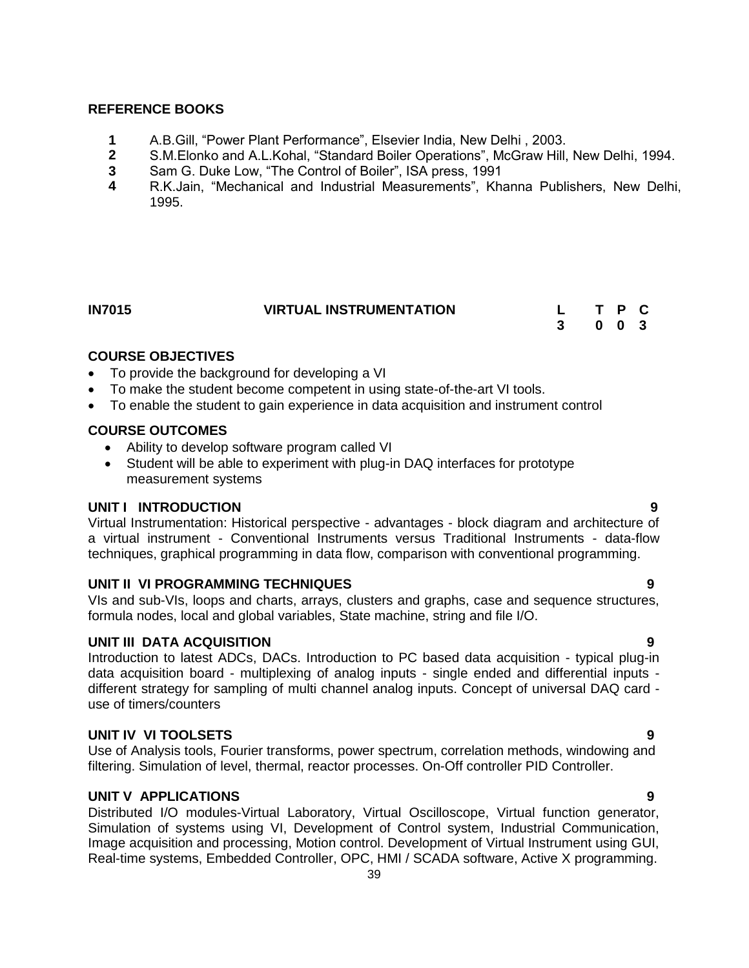#### **REFERENCE BOOKS**

- **1** A.B.Gill, "Power Plant Performance", Elsevier India, New Delhi , 2003.
- **2** S.M.Elonko and A.L.Kohal, "Standard Boiler Operations", McGraw Hill, New Delhi, 1994.
- **3** Sam G. Duke Low, "The Control of Boiler", ISA press, 1991
- **4** R.K.Jain, "Mechanical and Industrial Measurements", Khanna Publishers, New Delhi, 1995.

<span id="page-38-0"></span>

| <b>IN7015</b> | <b>VIRTUAL INSTRUMENTATION</b> |  | T P C               |  |
|---------------|--------------------------------|--|---------------------|--|
|               |                                |  | $0 \quad 0 \quad 3$ |  |

# **COURSE OBJECTIVES**

- To provide the background for developing a VI
- To make the student become competent in using state-of-the-art VI tools.
- To enable the student to gain experience in data acquisition and instrument control

### **COURSE OUTCOMES**

- Ability to develop software program called VI
- Student will be able to experiment with plug-in DAQ interfaces for prototype measurement systems

#### **UNIT I INTRODUCTION 9**

Virtual Instrumentation: Historical perspective - advantages - block diagram and architecture of a virtual instrument - Conventional Instruments versus Traditional Instruments - data-flow techniques, graphical programming in data flow, comparison with conventional programming.

#### **UNIT II VI PROGRAMMING TECHNIQUES 9**

VIs and sub-VIs, loops and charts, arrays, clusters and graphs, case and sequence structures, formula nodes, local and global variables, State machine, string and file I/O.

#### **UNIT III DATA ACQUISITION 9**

Introduction to latest ADCs, DACs. Introduction to PC based data acquisition - typical plug-in data acquisition board - multiplexing of analog inputs - single ended and differential inputs different strategy for sampling of multi channel analog inputs. Concept of universal DAQ card use of timers/counters

#### **UNIT IV VI TOOLSETS 9**

Use of Analysis tools, Fourier transforms, power spectrum, correlation methods, windowing and filtering. Simulation of level, thermal, reactor processes. On-Off controller PID Controller.

#### **UNIT V APPLICATIONS 9**

Distributed I/O modules-Virtual Laboratory, Virtual Oscilloscope, Virtual function generator, Simulation of systems using VI, Development of Control system, Industrial Communication, Image acquisition and processing, Motion control. Development of Virtual Instrument using GUI, Real-time systems, Embedded Controller, OPC, HMI / SCADA software, Active X programming.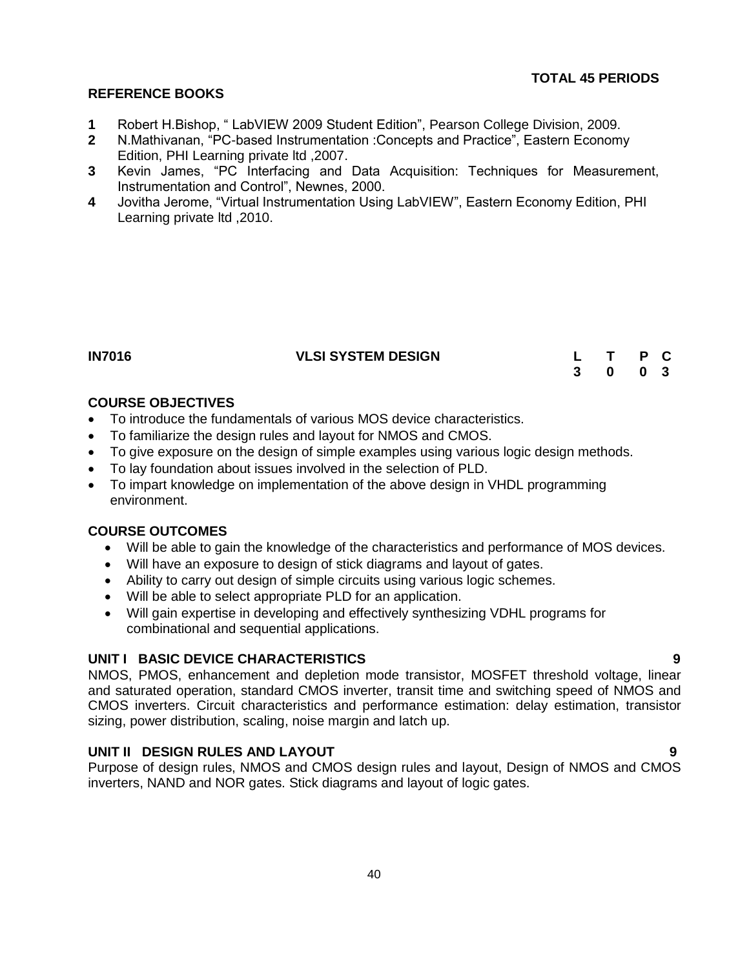#### **REFERENCE BOOKS**

- **1** Robert H.Bishop, " LabVIEW 2009 Student Edition", Pearson College Division, 2009.
- **2** N.Mathivanan, "PC-based Instrumentation :Concepts and Practice", Eastern Economy Edition, PHI Learning private ltd ,2007.
- **3** Kevin James, "PC Interfacing and Data Acquisition: Techniques for Measurement, Instrumentation and Control", Newnes, 2000.
- **4** Jovitha Jerome, "Virtual Instrumentation Using LabVIEW", Eastern Economy Edition, PHI Learning private ltd ,2010.

<span id="page-39-0"></span>

| I<br>ш |
|--------|
|--------|

# **IN7016 VLSI SYSTEM DESIGN L T P C**

| L |   | Р | C.           |
|---|---|---|--------------|
| 3 | 0 | 0 | $\mathbf{3}$ |

# **COURSE OBJECTIVES**

- To introduce the fundamentals of various MOS device characteristics.
- To familiarize the design rules and layout for NMOS and CMOS.
- To give exposure on the design of simple examples using various logic design methods.
- To lay foundation about issues involved in the selection of PLD.
- To impart knowledge on implementation of the above design in VHDL programming environment.

# **COURSE OUTCOMES**

- Will be able to gain the knowledge of the characteristics and performance of MOS devices.
- Will have an exposure to design of stick diagrams and layout of gates.
- Ability to carry out design of simple circuits using various logic schemes.
- Will be able to select appropriate PLD for an application.
- Will gain expertise in developing and effectively synthesizing VDHL programs for combinational and sequential applications.

# **UNIT I BASIC DEVICE CHARACTERISTICS 9**

NMOS, PMOS, enhancement and depletion mode transistor, MOSFET threshold voltage, linear and saturated operation, standard CMOS inverter, transit time and switching speed of NMOS and CMOS inverters. Circuit characteristics and performance estimation: delay estimation, transistor sizing, power distribution, scaling, noise margin and latch up.

# **UNIT II DESIGN RULES AND LAYOUT 9**

Purpose of design rules, NMOS and CMOS design rules and layout, Design of NMOS and CMOS inverters, NAND and NOR gates. Stick diagrams and layout of logic gates.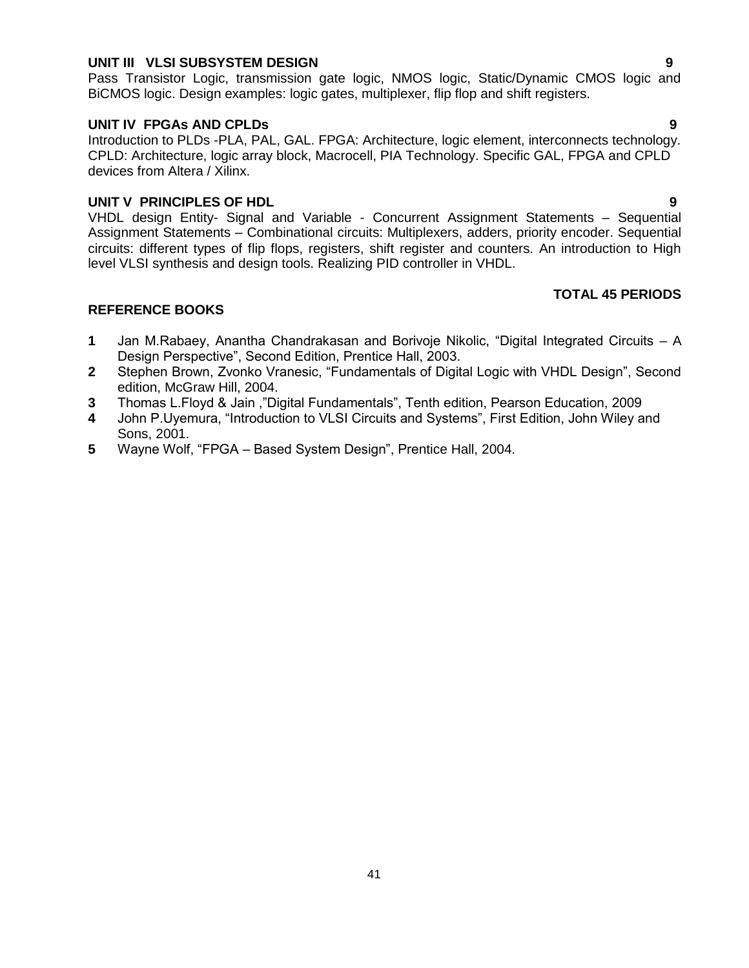#### **UNIT III VLSI SUBSYSTEM DESIGN 9**

Pass Transistor Logic, transmission gate logic, NMOS logic, Static/Dynamic CMOS logic and BiCMOS logic. Design examples: logic gates, multiplexer, flip flop and shift registers.

#### **UNIT IV FPGAs AND CPLDs 9**

Introduction to PLDs -PLA, PAL, GAL. FPGA: Architecture, logic element, interconnects technology. CPLD: Architecture, logic array block, Macrocell, PIA Technology. Specific GAL, FPGA and CPLD devices from Altera / Xilinx.

#### **UNIT V PRINCIPLES OF HDL 9**

VHDL design Entity- Signal and Variable - Concurrent Assignment Statements – Sequential Assignment Statements – Combinational circuits: Multiplexers, adders, priority encoder. Sequential circuits: different types of flip flops, registers, shift register and counters. An introduction to High level VLSI synthesis and design tools. Realizing PID controller in VHDL.

#### **TOTAL 45 PERIODS**

- **1** Jan M.Rabaey, Anantha Chandrakasan and Borivoje Nikolic, "Digital Integrated Circuits A Design Perspective", Second Edition, Prentice Hall, 2003.
- **2** Stephen Brown, Zvonko Vranesic, "Fundamentals of Digital Logic with VHDL Design", Second edition, McGraw Hill, 2004.
- **3** Thomas L.Floyd & Jain ,"Digital Fundamentals", Tenth edition, Pearson Education, 2009
- **4** John P.Uyemura, "Introduction to VLSI Circuits and Systems", First Edition, John Wiley and Sons, 2001.
- **5** Wayne Wolf, "FPGA Based System Design", Prentice Hall, 2004.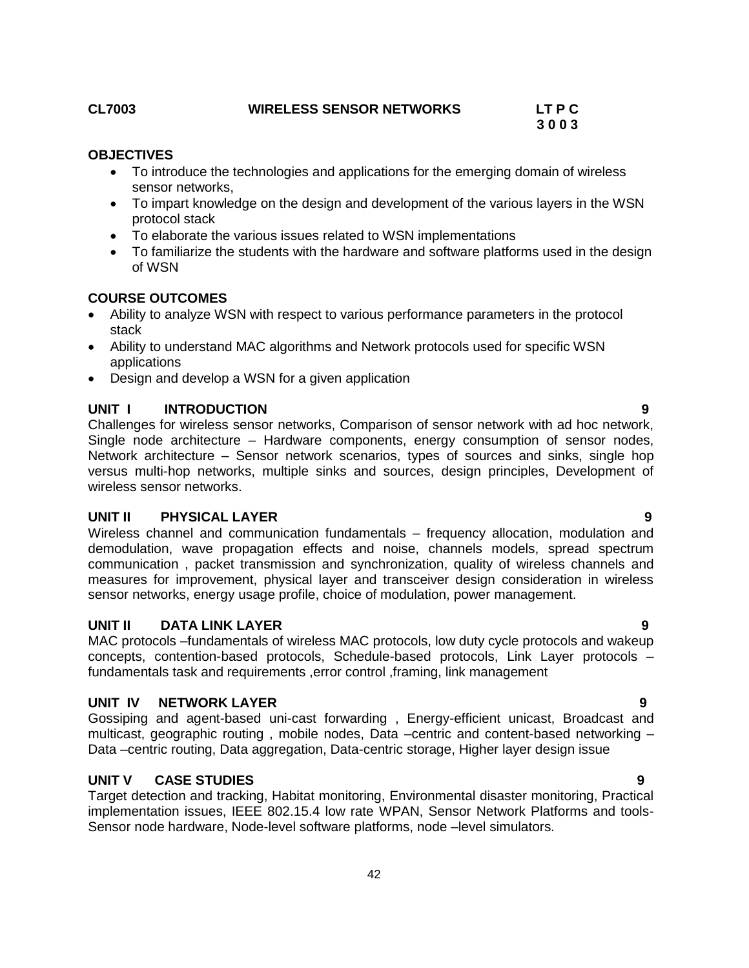# <span id="page-41-0"></span>**CL7003 WIRELESS SENSOR NETWORKS LT P C**

# **3 0 0 3**

# **OBJECTIVES**

- To introduce the technologies and applications for the emerging domain of wireless sensor networks,
- To impart knowledge on the design and development of the various layers in the WSN protocol stack
- To elaborate the various issues related to WSN implementations
- To familiarize the students with the hardware and software platforms used in the design of WSN

# **COURSE OUTCOMES**

- Ability to analyze WSN with respect to various performance parameters in the protocol stack
- Ability to understand MAC algorithms and Network protocols used for specific WSN applications
- Design and develop a WSN for a given application

# **UNIT I INTRODUCTION 9**

Challenges for wireless sensor networks, Comparison of sensor network with ad hoc network, Single node architecture – Hardware components, energy consumption of sensor nodes, Network architecture – Sensor network scenarios, types of sources and sinks, single hop versus multi-hop networks, multiple sinks and sources, design principles, Development of wireless sensor networks.

# **UNIT II PHYSICAL LAYER 9**

Wireless channel and communication fundamentals – frequency allocation, modulation and demodulation, wave propagation effects and noise, channels models, spread spectrum communication , packet transmission and synchronization, quality of wireless channels and measures for improvement, physical layer and transceiver design consideration in wireless sensor networks, energy usage profile, choice of modulation, power management.

# **UNIT II DATA LINK LAYER 9**

MAC protocols –fundamentals of wireless MAC protocols, low duty cycle protocols and wakeup concepts, contention-based protocols, Schedule-based protocols, Link Layer protocols – fundamentals task and requirements ,error control ,framing, link management

# **UNIT IV NETWORK LAYER 9**

Gossiping and agent-based uni-cast forwarding , Energy-efficient unicast, Broadcast and multicast, geographic routing , mobile nodes, Data –centric and content-based networking – Data –centric routing, Data aggregation, Data-centric storage, Higher layer design issue

# **UNIT V CASE STUDIES 9**

Target detection and tracking, Habitat monitoring, Environmental disaster monitoring, Practical implementation issues, IEEE 802.15.4 low rate WPAN, Sensor Network Platforms and tools-Sensor node hardware, Node-level software platforms, node –level simulators.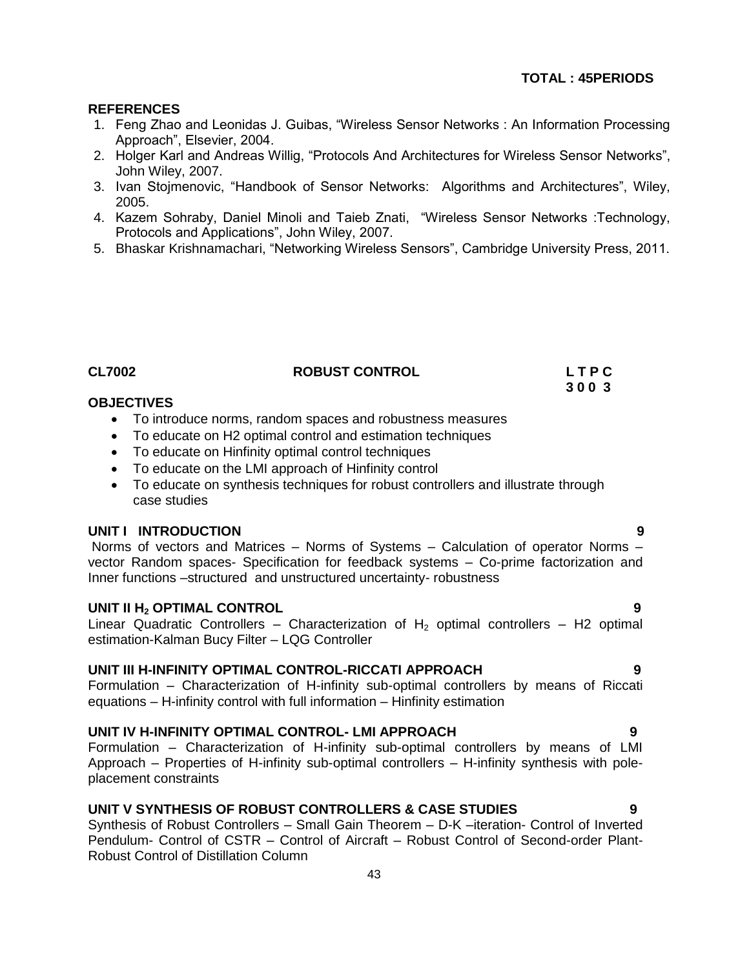# **REFERENCES**

- 1. Feng Zhao and Leonidas J. Guibas, "Wireless Sensor Networks : An Information Processing Approach", Elsevier, 2004.
- 2. Holger Karl and Andreas Willig, "Protocols And Architectures for Wireless Sensor Networks", John Wiley, 2007.
- 3. Ivan Stojmenovic, "Handbook of Sensor Networks: Algorithms and Architectures", Wiley, 2005.
- 4. Kazem Sohraby, Daniel Minoli and Taieb Znati, "Wireless Sensor Networks :Technology, Protocols and Applications", John Wiley, 2007.
- 5. Bhaskar Krishnamachari, "Networking Wireless Sensors", Cambridge University Press, 2011.

| <b>CL7002</b> | <b>ROBUST CONTROL</b> | LTPC |
|---------------|-----------------------|------|
|               |                       | 3003 |

# **OBJECTIVES**

- To introduce norms, random spaces and robustness measures
- *2*To educate on H2 optimal control and estimation techniques
- To educate on Hinfinity optimal control techniques
- *4*To educate on the LMI approach of Hinfinity control
- To educate on synthesis techniques for robust controllers and illustrate through case studies

#### **UNIT I INTRODUCTION 9**

Norms of vectors and Matrices – Norms of Systems – Calculation of operator Norms – vector Random spaces- Specification for feedback systems – Co-prime factorization and Inner functions –structured and unstructured uncertainty- robustness

### **UNIT II H<sup>2</sup> OPTIMAL CONTROL 9**

Linear Quadratic Controllers – Characterization of  $H_2$  optimal controllers – H2 optimal estimation-Kalman Bucy Filter – LQG Controller

#### **UNIT III H-INFINITY OPTIMAL CONTROL-RICCATI APPROACH 9**

Formulation – Characterization of H-infinity sub-optimal controllers by means of Riccati equations – H-infinity control with full information – Hinfinity estimation

# **UNIT IV H-INFINITY OPTIMAL CONTROL- LMI APPROACH 9**

Formulation – Characterization of H-infinity sub-optimal controllers by means of LMI Approach – Properties of H-infinity sub-optimal controllers – H-infinity synthesis with poleplacement constraints

# **UNIT V SYNTHESIS OF ROBUST CONTROLLERS & CASE STUDIES 9**

Synthesis of Robust Controllers – Small Gain Theorem – D-K –iteration- Control of Inverted Pendulum- Control of CSTR – Control of Aircraft – Robust Control of Second-order Plant-Robust Control of Distillation Column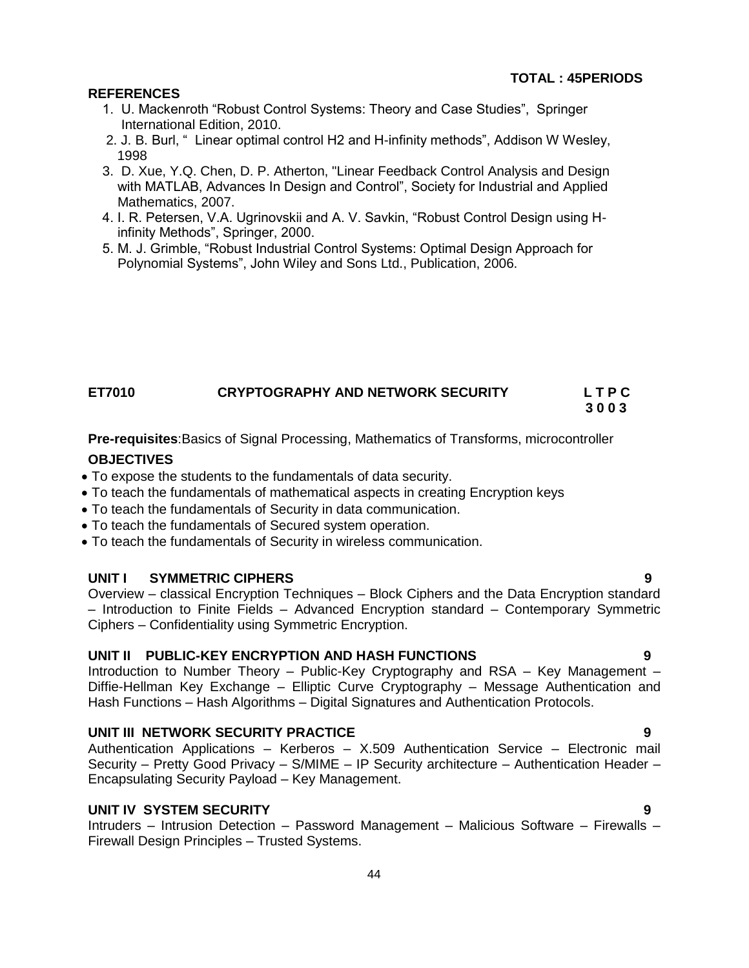### **REFERENCES**

- 1. U. Mackenroth "Robust Control Systems: Theory and Case Studies", Springer International Edition, 2010.
- 2. 2. J. B. Burl, " Linear optimal control H2 and H-infinity methods", Addison W Wesley, 1998
- 3. D. Xue, Y.Q. Chen, D. P. Atherton, "Linear Feedback Control Analysis and Design with MATLAB, Advances In Design and Control", Society for Industrial and Applied Mathematics, 2007.
- 4. I. R. Petersen, V.A. Ugrinovskii and A. V. Savkin, "Robust Control Design using H infinity Methods", Springer, 2000.
- 5. M. J. Grimble, "Robust Industrial Control Systems: Optimal Design Approach for Polynomial Systems", John Wiley and Sons Ltd., Publication, 2006.

## **ET7010 CRYPTOGRAPHY AND NETWORK SECURITY L T P C 3 0 0 3**

**Pre-requisites**:Basics of Signal Processing, Mathematics of Transforms, microcontroller

### **OBJECTIVES**

- To expose the students to the fundamentals of data security.
- To teach the fundamentals of mathematical aspects in creating Encryption keys
- To teach the fundamentals of Security in data communication.
- To teach the fundamentals of Secured system operation.
- To teach the fundamentals of Security in wireless communication.

#### **UNIT I SYMMETRIC CIPHERS 9**

Overview – classical Encryption Techniques – Block Ciphers and the Data Encryption standard – Introduction to Finite Fields – Advanced Encryption standard – Contemporary Symmetric Ciphers – Confidentiality using Symmetric Encryption.

# **UNIT II PUBLIC-KEY ENCRYPTION AND HASH FUNCTIONS 9**

Introduction to Number Theory – Public-Key Cryptography and RSA – Key Management – Diffie-Hellman Key Exchange – Elliptic Curve Cryptography – Message Authentication and Hash Functions – Hash Algorithms – Digital Signatures and Authentication Protocols.

# **UNIT III NETWORK SECURITY PRACTICE 9**

Authentication Applications – Kerberos – X.509 Authentication Service – Electronic mail Security – Pretty Good Privacy – S/MIME – IP Security architecture – Authentication Header – Encapsulating Security Payload – Key Management.

# **UNIT IV SYSTEM SECURITY 9**

Intruders – Intrusion Detection – Password Management – Malicious Software – Firewalls – Firewall Design Principles – Trusted Systems.